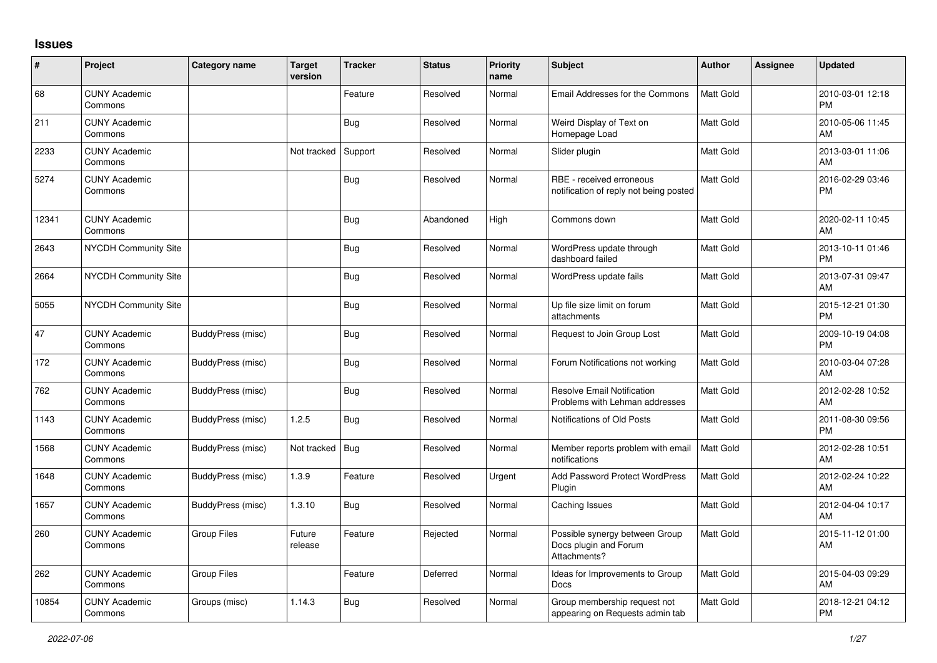## **Issues**

| #     | Project                         | <b>Category name</b> | <b>Target</b><br>version | <b>Tracker</b> | <b>Status</b> | <b>Priority</b><br>name | <b>Subject</b>                                                          | <b>Author</b>    | <b>Assignee</b> | <b>Updated</b>                |
|-------|---------------------------------|----------------------|--------------------------|----------------|---------------|-------------------------|-------------------------------------------------------------------------|------------------|-----------------|-------------------------------|
| 68    | <b>CUNY Academic</b><br>Commons |                      |                          | Feature        | Resolved      | Normal                  | Email Addresses for the Commons                                         | Matt Gold        |                 | 2010-03-01 12:18<br><b>PM</b> |
| 211   | <b>CUNY Academic</b><br>Commons |                      |                          | Bug            | Resolved      | Normal                  | Weird Display of Text on<br>Homepage Load                               | Matt Gold        |                 | 2010-05-06 11:45<br>AM        |
| 2233  | <b>CUNY Academic</b><br>Commons |                      | Not tracked              | Support        | Resolved      | Normal                  | Slider plugin                                                           | <b>Matt Gold</b> |                 | 2013-03-01 11:06<br>AM        |
| 5274  | <b>CUNY Academic</b><br>Commons |                      |                          | <b>Bug</b>     | Resolved      | Normal                  | RBE - received erroneous<br>notification of reply not being posted      | Matt Gold        |                 | 2016-02-29 03:46<br><b>PM</b> |
| 12341 | <b>CUNY Academic</b><br>Commons |                      |                          | <b>Bug</b>     | Abandoned     | High                    | Commons down                                                            | Matt Gold        |                 | 2020-02-11 10:45<br>AM        |
| 2643  | <b>NYCDH Community Site</b>     |                      |                          | Bug            | Resolved      | Normal                  | WordPress update through<br>dashboard failed                            | Matt Gold        |                 | 2013-10-11 01:46<br><b>PM</b> |
| 2664  | <b>NYCDH Community Site</b>     |                      |                          | Bug            | Resolved      | Normal                  | WordPress update fails                                                  | Matt Gold        |                 | 2013-07-31 09:47<br>AM        |
| 5055  | <b>NYCDH Community Site</b>     |                      |                          | <b>Bug</b>     | Resolved      | Normal                  | Up file size limit on forum<br>attachments                              | Matt Gold        |                 | 2015-12-21 01:30<br><b>PM</b> |
| 47    | <b>CUNY Academic</b><br>Commons | BuddyPress (misc)    |                          | <b>Bug</b>     | Resolved      | Normal                  | Request to Join Group Lost                                              | <b>Matt Gold</b> |                 | 2009-10-19 04:08<br><b>PM</b> |
| 172   | <b>CUNY Academic</b><br>Commons | BuddyPress (misc)    |                          | Bug            | Resolved      | Normal                  | Forum Notifications not working                                         | <b>Matt Gold</b> |                 | 2010-03-04 07:28<br>AM        |
| 762   | <b>CUNY Academic</b><br>Commons | BuddyPress (misc)    |                          | Bug            | Resolved      | Normal                  | <b>Resolve Email Notification</b><br>Problems with Lehman addresses     | Matt Gold        |                 | 2012-02-28 10:52<br>AM        |
| 1143  | <b>CUNY Academic</b><br>Commons | BuddyPress (misc)    | 1.2.5                    | Bug            | Resolved      | Normal                  | Notifications of Old Posts                                              | Matt Gold        |                 | 2011-08-30 09:56<br><b>PM</b> |
| 1568  | <b>CUNY Academic</b><br>Commons | BuddyPress (misc)    | Not tracked              | <b>Bug</b>     | Resolved      | Normal                  | Member reports problem with email<br>notifications                      | Matt Gold        |                 | 2012-02-28 10:51<br>AM        |
| 1648  | <b>CUNY Academic</b><br>Commons | BuddyPress (misc)    | 1.3.9                    | Feature        | Resolved      | Urgent                  | <b>Add Password Protect WordPress</b><br>Plugin                         | <b>Matt Gold</b> |                 | 2012-02-24 10:22<br>AM        |
| 1657  | <b>CUNY Academic</b><br>Commons | BuddyPress (misc)    | 1.3.10                   | Bug            | Resolved      | Normal                  | Caching Issues                                                          | <b>Matt Gold</b> |                 | 2012-04-04 10:17<br>AM        |
| 260   | <b>CUNY Academic</b><br>Commons | <b>Group Files</b>   | Future<br>release        | Feature        | Rejected      | Normal                  | Possible synergy between Group<br>Docs plugin and Forum<br>Attachments? | Matt Gold        |                 | 2015-11-12 01:00<br>AM        |
| 262   | <b>CUNY Academic</b><br>Commons | <b>Group Files</b>   |                          | Feature        | Deferred      | Normal                  | Ideas for Improvements to Group<br>Docs                                 | Matt Gold        |                 | 2015-04-03 09:29<br>AM        |
| 10854 | <b>CUNY Academic</b><br>Commons | Groups (misc)        | 1.14.3                   | Bug            | Resolved      | Normal                  | Group membership request not<br>appearing on Requests admin tab         | Matt Gold        |                 | 2018-12-21 04:12<br><b>PM</b> |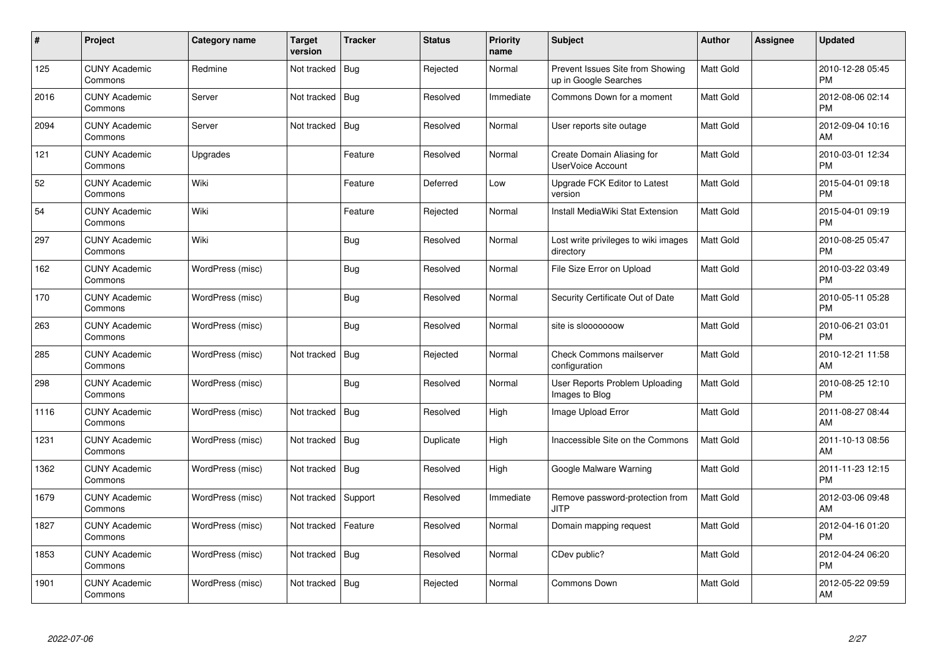| $\#$ | Project                         | Category name    | <b>Target</b><br>version | <b>Tracker</b> | <b>Status</b> | <b>Priority</b><br>name | <b>Subject</b>                                            | <b>Author</b> | <b>Assignee</b> | <b>Updated</b>                |
|------|---------------------------------|------------------|--------------------------|----------------|---------------|-------------------------|-----------------------------------------------------------|---------------|-----------------|-------------------------------|
| 125  | <b>CUNY Academic</b><br>Commons | Redmine          | Not tracked              | <b>Bug</b>     | Rejected      | Normal                  | Prevent Issues Site from Showing<br>up in Google Searches | Matt Gold     |                 | 2010-12-28 05:45<br><b>PM</b> |
| 2016 | <b>CUNY Academic</b><br>Commons | Server           | Not tracked              | Bug            | Resolved      | Immediate               | Commons Down for a moment                                 | Matt Gold     |                 | 2012-08-06 02:14<br><b>PM</b> |
| 2094 | <b>CUNY Academic</b><br>Commons | Server           | Not tracked              | <b>Bug</b>     | Resolved      | Normal                  | User reports site outage                                  | Matt Gold     |                 | 2012-09-04 10:16<br>AM        |
| 121  | <b>CUNY Academic</b><br>Commons | Upgrades         |                          | Feature        | Resolved      | Normal                  | Create Domain Aliasing for<br>UserVoice Account           | Matt Gold     |                 | 2010-03-01 12:34<br><b>PM</b> |
| 52   | <b>CUNY Academic</b><br>Commons | Wiki             |                          | Feature        | Deferred      | Low                     | Upgrade FCK Editor to Latest<br>version                   | Matt Gold     |                 | 2015-04-01 09:18<br><b>PM</b> |
| 54   | <b>CUNY Academic</b><br>Commons | Wiki             |                          | Feature        | Rejected      | Normal                  | Install MediaWiki Stat Extension                          | Matt Gold     |                 | 2015-04-01 09:19<br><b>PM</b> |
| 297  | <b>CUNY Academic</b><br>Commons | Wiki             |                          | Bug            | Resolved      | Normal                  | Lost write privileges to wiki images<br>directory         | Matt Gold     |                 | 2010-08-25 05:47<br><b>PM</b> |
| 162  | <b>CUNY Academic</b><br>Commons | WordPress (misc) |                          | Bug            | Resolved      | Normal                  | File Size Error on Upload                                 | Matt Gold     |                 | 2010-03-22 03:49<br><b>PM</b> |
| 170  | <b>CUNY Academic</b><br>Commons | WordPress (misc) |                          | Bug            | Resolved      | Normal                  | Security Certificate Out of Date                          | Matt Gold     |                 | 2010-05-11 05:28<br><b>PM</b> |
| 263  | <b>CUNY Academic</b><br>Commons | WordPress (misc) |                          | <b>Bug</b>     | Resolved      | Normal                  | site is slooooooow                                        | Matt Gold     |                 | 2010-06-21 03:01<br><b>PM</b> |
| 285  | <b>CUNY Academic</b><br>Commons | WordPress (misc) | Not tracked              | Bug            | Rejected      | Normal                  | <b>Check Commons mailserver</b><br>configuration          | Matt Gold     |                 | 2010-12-21 11:58<br>AM        |
| 298  | <b>CUNY Academic</b><br>Commons | WordPress (misc) |                          | Bug            | Resolved      | Normal                  | User Reports Problem Uploading<br>Images to Blog          | Matt Gold     |                 | 2010-08-25 12:10<br><b>PM</b> |
| 1116 | <b>CUNY Academic</b><br>Commons | WordPress (misc) | Not tracked              | Bug            | Resolved      | High                    | Image Upload Error                                        | Matt Gold     |                 | 2011-08-27 08:44<br>AM        |
| 1231 | <b>CUNY Academic</b><br>Commons | WordPress (misc) | Not tracked              | Bug            | Duplicate     | High                    | Inaccessible Site on the Commons                          | Matt Gold     |                 | 2011-10-13 08:56<br>AM        |
| 1362 | <b>CUNY Academic</b><br>Commons | WordPress (misc) | Not tracked   Bug        |                | Resolved      | High                    | Google Malware Warning                                    | Matt Gold     |                 | 2011-11-23 12:15<br><b>PM</b> |
| 1679 | <b>CUNY Academic</b><br>Commons | WordPress (misc) | Not tracked              | Support        | Resolved      | Immediate               | Remove password-protection from<br><b>JITP</b>            | Matt Gold     |                 | 2012-03-06 09:48<br>AM        |
| 1827 | <b>CUNY Academic</b><br>Commons | WordPress (misc) | Not tracked              | Feature        | Resolved      | Normal                  | Domain mapping request                                    | Matt Gold     |                 | 2012-04-16 01:20<br><b>PM</b> |
| 1853 | <b>CUNY Academic</b><br>Commons | WordPress (misc) | Not tracked              | Bug            | Resolved      | Normal                  | CDev public?                                              | Matt Gold     |                 | 2012-04-24 06:20<br><b>PM</b> |
| 1901 | CUNY Academic<br>Commons        | WordPress (misc) | Not tracked   Bug        |                | Rejected      | Normal                  | <b>Commons Down</b>                                       | Matt Gold     |                 | 2012-05-22 09:59<br>AM        |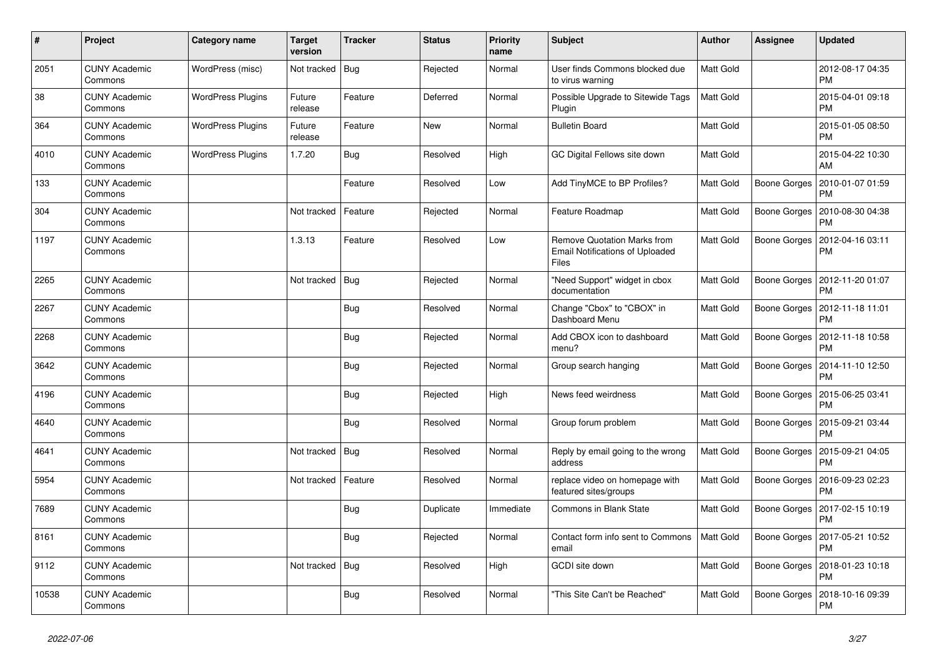| $\pmb{\sharp}$ | Project                         | Category name            | <b>Target</b><br>version | <b>Tracker</b> | <b>Status</b> | <b>Priority</b><br>name | <b>Subject</b>                                                                               | Author           | <b>Assignee</b>     | <b>Updated</b>                               |
|----------------|---------------------------------|--------------------------|--------------------------|----------------|---------------|-------------------------|----------------------------------------------------------------------------------------------|------------------|---------------------|----------------------------------------------|
| 2051           | <b>CUNY Academic</b><br>Commons | WordPress (misc)         | Not tracked              | Bug            | Rejected      | Normal                  | User finds Commons blocked due<br>to virus warning                                           | <b>Matt Gold</b> |                     | 2012-08-17 04:35<br><b>PM</b>                |
| 38             | <b>CUNY Academic</b><br>Commons | <b>WordPress Plugins</b> | Future<br>release        | Feature        | Deferred      | Normal                  | Possible Upgrade to Sitewide Tags<br>Plugin                                                  | Matt Gold        |                     | 2015-04-01 09:18<br><b>PM</b>                |
| 364            | <b>CUNY Academic</b><br>Commons | <b>WordPress Plugins</b> | Future<br>release        | Feature        | New           | Normal                  | <b>Bulletin Board</b>                                                                        | <b>Matt Gold</b> |                     | 2015-01-05 08:50<br><b>PM</b>                |
| 4010           | <b>CUNY Academic</b><br>Commons | <b>WordPress Plugins</b> | 1.7.20                   | <b>Bug</b>     | Resolved      | High                    | GC Digital Fellows site down                                                                 | <b>Matt Gold</b> |                     | 2015-04-22 10:30<br>AM                       |
| 133            | <b>CUNY Academic</b><br>Commons |                          |                          | Feature        | Resolved      | Low                     | Add TinyMCE to BP Profiles?                                                                  | Matt Gold        | Boone Gorges        | 2010-01-07 01:59<br>PM                       |
| 304            | <b>CUNY Academic</b><br>Commons |                          | Not tracked              | Feature        | Rejected      | Normal                  | Feature Roadmap                                                                              | Matt Gold        | Boone Gorges        | 2010-08-30 04:38<br><b>PM</b>                |
| 1197           | <b>CUNY Academic</b><br>Commons |                          | 1.3.13                   | Feature        | Resolved      | Low                     | <b>Remove Quotation Marks from</b><br><b>Email Notifications of Uploaded</b><br><b>Files</b> | Matt Gold        | Boone Gorges        | 2012-04-16 03:11<br><b>PM</b>                |
| 2265           | <b>CUNY Academic</b><br>Commons |                          | Not tracked              | Bug            | Rejected      | Normal                  | "Need Support" widget in cbox<br>documentation                                               | Matt Gold        | Boone Gorges        | 2012-11-20 01:07<br><b>PM</b>                |
| 2267           | <b>CUNY Academic</b><br>Commons |                          |                          | Bug            | Resolved      | Normal                  | Change "Cbox" to "CBOX" in<br>Dashboard Menu                                                 | Matt Gold        | Boone Gorges        | 2012-11-18 11:01<br><b>PM</b>                |
| 2268           | <b>CUNY Academic</b><br>Commons |                          |                          | <b>Bug</b>     | Rejected      | Normal                  | Add CBOX icon to dashboard<br>menu?                                                          | <b>Matt Gold</b> | <b>Boone Gorges</b> | 2012-11-18 10:58<br><b>PM</b>                |
| 3642           | <b>CUNY Academic</b><br>Commons |                          |                          | Bug            | Rejected      | Normal                  | Group search hanging                                                                         | Matt Gold        |                     | Boone Gorges   2014-11-10 12:50<br><b>PM</b> |
| 4196           | <b>CUNY Academic</b><br>Commons |                          |                          | <b>Bug</b>     | Rejected      | High                    | News feed weirdness                                                                          | Matt Gold        | Boone Gorges        | 2015-06-25 03:41<br><b>PM</b>                |
| 4640           | <b>CUNY Academic</b><br>Commons |                          |                          | <b>Bug</b>     | Resolved      | Normal                  | Group forum problem                                                                          | <b>Matt Gold</b> | Boone Gorges        | 2015-09-21 03:44<br><b>PM</b>                |
| 4641           | <b>CUNY Academic</b><br>Commons |                          | Not tracked              | Bug            | Resolved      | Normal                  | Reply by email going to the wrong<br>address                                                 | Matt Gold        | Boone Gorges        | 2015-09-21 04:05<br><b>PM</b>                |
| 5954           | <b>CUNY Academic</b><br>Commons |                          | Not tracked              | Feature        | Resolved      | Normal                  | replace video on homepage with<br>featured sites/groups                                      | <b>Matt Gold</b> | Boone Gorges        | 2016-09-23 02:23<br><b>PM</b>                |
| 7689           | <b>CUNY Academic</b><br>Commons |                          |                          | <b>Bug</b>     | Duplicate     | Immediate               | <b>Commons in Blank State</b>                                                                | Matt Gold        | <b>Boone Gorges</b> | 2017-02-15 10:19<br><b>PM</b>                |
| 8161           | <b>CUNY Academic</b><br>Commons |                          |                          | <b>Bug</b>     | Rejected      | Normal                  | Contact form info sent to Commons<br>email                                                   | <b>Matt Gold</b> |                     | Boone Gorges   2017-05-21 10:52<br>PM        |
| 9112           | <b>CUNY Academic</b><br>Commons |                          | Not tracked              | Bug            | Resolved      | High                    | GCDI site down                                                                               | Matt Gold        | Boone Gorges        | 2018-01-23 10:18<br><b>PM</b>                |
| 10538          | <b>CUNY Academic</b><br>Commons |                          |                          | <b>Bug</b>     | Resolved      | Normal                  | "This Site Can't be Reached"                                                                 | Matt Gold        | Boone Gorges        | 2018-10-16 09:39<br><b>PM</b>                |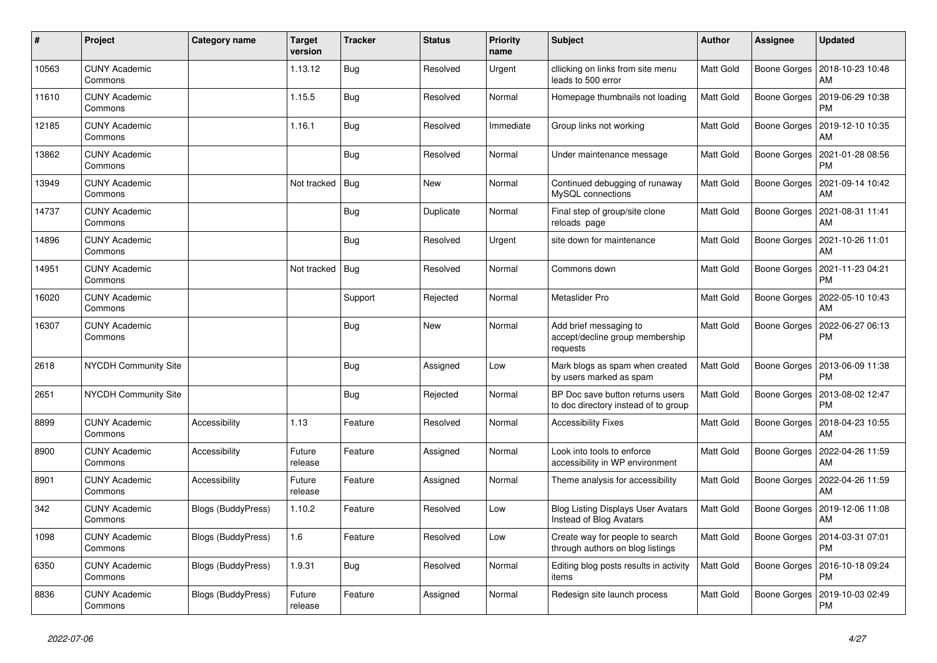| #     | Project                         | Category name             | <b>Target</b><br>version | <b>Tracker</b> | <b>Status</b> | <b>Priority</b><br>name | <b>Subject</b>                                                           | <b>Author</b>    | Assignee            | <b>Updated</b>                        |
|-------|---------------------------------|---------------------------|--------------------------|----------------|---------------|-------------------------|--------------------------------------------------------------------------|------------------|---------------------|---------------------------------------|
| 10563 | <b>CUNY Academic</b><br>Commons |                           | 1.13.12                  | <b>Bug</b>     | Resolved      | Urgent                  | cllicking on links from site menu<br>leads to 500 error                  | Matt Gold        | Boone Gorges        | 2018-10-23 10:48<br>AM                |
| 11610 | <b>CUNY Academic</b><br>Commons |                           | 1.15.5                   | <b>Bug</b>     | Resolved      | Normal                  | Homepage thumbnails not loading                                          | <b>Matt Gold</b> | Boone Gorges        | 2019-06-29 10:38<br><b>PM</b>         |
| 12185 | <b>CUNY Academic</b><br>Commons |                           | 1.16.1                   | Bug            | Resolved      | Immediate               | Group links not working                                                  | Matt Gold        | Boone Gorges        | 2019-12-10 10:35<br>AM                |
| 13862 | <b>CUNY Academic</b><br>Commons |                           |                          | <b>Bug</b>     | Resolved      | Normal                  | Under maintenance message                                                | Matt Gold        | <b>Boone Gorges</b> | 2021-01-28 08:56<br><b>PM</b>         |
| 13949 | <b>CUNY Academic</b><br>Commons |                           | Not tracked              | Bug            | New           | Normal                  | Continued debugging of runaway<br>MySQL connections                      | Matt Gold        | Boone Gorges        | 2021-09-14 10:42<br>AM                |
| 14737 | <b>CUNY Academic</b><br>Commons |                           |                          | Bug            | Duplicate     | Normal                  | Final step of group/site clone<br>reloads page                           | Matt Gold        | Boone Gorges        | 2021-08-31 11:41<br>AM                |
| 14896 | <b>CUNY Academic</b><br>Commons |                           |                          | <b>Bug</b>     | Resolved      | Urgent                  | site down for maintenance                                                | <b>Matt Gold</b> | <b>Boone Gorges</b> | 2021-10-26 11:01<br>AM                |
| 14951 | <b>CUNY Academic</b><br>Commons |                           | Not tracked              | Bug            | Resolved      | Normal                  | Commons down                                                             | Matt Gold        | Boone Gorges        | 2021-11-23 04:21<br><b>PM</b>         |
| 16020 | <b>CUNY Academic</b><br>Commons |                           |                          | Support        | Rejected      | Normal                  | Metaslider Pro                                                           | Matt Gold        | Boone Gorges        | 2022-05-10 10:43<br>AM                |
| 16307 | <b>CUNY Academic</b><br>Commons |                           |                          | Bug            | New           | Normal                  | Add brief messaging to<br>accept/decline group membership<br>requests    | Matt Gold        | Boone Gorges        | 2022-06-27 06:13<br><b>PM</b>         |
| 2618  | <b>NYCDH Community Site</b>     |                           |                          | Bug            | Assigned      | Low                     | Mark blogs as spam when created<br>by users marked as spam               | Matt Gold        | Boone Gorges        | 2013-06-09 11:38<br><b>PM</b>         |
| 2651  | <b>NYCDH Community Site</b>     |                           |                          | Bug            | Rejected      | Normal                  | BP Doc save button returns users<br>to doc directory instead of to group | Matt Gold        | Boone Gorges        | 2013-08-02 12:47<br><b>PM</b>         |
| 8899  | <b>CUNY Academic</b><br>Commons | Accessibility             | 1.13                     | Feature        | Resolved      | Normal                  | <b>Accessibility Fixes</b>                                               | Matt Gold        | Boone Gorges        | 2018-04-23 10:55<br>AM                |
| 8900  | <b>CUNY Academic</b><br>Commons | Accessibility             | Future<br>release        | Feature        | Assigned      | Normal                  | Look into tools to enforce<br>accessibility in WP environment            | Matt Gold        | Boone Gorges        | 2022-04-26 11:59<br>AM                |
| 8901  | <b>CUNY Academic</b><br>Commons | Accessibility             | Future<br>release        | Feature        | Assigned      | Normal                  | Theme analysis for accessibility                                         | Matt Gold        | Boone Gorges        | 2022-04-26 11:59<br>AM                |
| 342   | <b>CUNY Academic</b><br>Commons | <b>Blogs (BuddyPress)</b> | 1.10.2                   | Feature        | Resolved      | Low                     | <b>Blog Listing Displays User Avatars</b><br>Instead of Blog Avatars     | Matt Gold        | Boone Gorges        | 2019-12-06 11:08<br>AM                |
| 1098  | <b>CUNY Academic</b><br>Commons | Blogs (BuddyPress)        | 1.6                      | Feature        | Resolved      | Low                     | Create way for people to search<br>through authors on blog listings      | Matt Gold        |                     | Boone Gorges   2014-03-31 07:01<br>PM |
| 6350  | <b>CUNY Academic</b><br>Commons | <b>Blogs (BuddyPress)</b> | 1.9.31                   | Bug            | Resolved      | Normal                  | Editing blog posts results in activity<br>items                          | Matt Gold        | Boone Gorges        | 2016-10-18 09:24<br><b>PM</b>         |
| 8836  | <b>CUNY Academic</b><br>Commons | Blogs (BuddyPress)        | Future<br>release        | Feature        | Assigned      | Normal                  | Redesign site launch process                                             | Matt Gold        | Boone Gorges        | 2019-10-03 02:49<br><b>PM</b>         |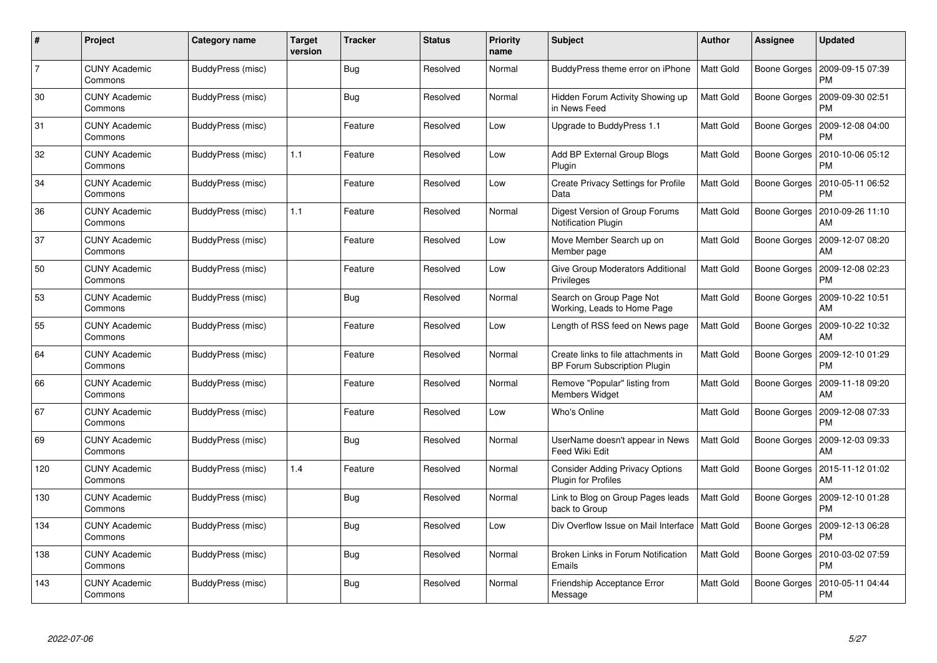| #              | Project                         | <b>Category name</b> | <b>Target</b><br>version | <b>Tracker</b> | <b>Status</b> | <b>Priority</b><br>name | <b>Subject</b>                                                             | <b>Author</b>    | <b>Assignee</b> | <b>Updated</b>                               |
|----------------|---------------------------------|----------------------|--------------------------|----------------|---------------|-------------------------|----------------------------------------------------------------------------|------------------|-----------------|----------------------------------------------|
| $\overline{7}$ | <b>CUNY Academic</b><br>Commons | BuddyPress (misc)    |                          | Bug            | Resolved      | Normal                  | BuddyPress theme error on iPhone                                           | <b>Matt Gold</b> | Boone Gorges    | 2009-09-15 07:39<br><b>PM</b>                |
| 30             | <b>CUNY Academic</b><br>Commons | BuddyPress (misc)    |                          | Bug            | Resolved      | Normal                  | Hidden Forum Activity Showing up<br>in News Feed                           | Matt Gold        | Boone Gorges    | 2009-09-30 02:51<br><b>PM</b>                |
| 31             | <b>CUNY Academic</b><br>Commons | BuddyPress (misc)    |                          | Feature        | Resolved      | Low                     | Upgrade to BuddyPress 1.1                                                  | Matt Gold        | Boone Gorges    | 2009-12-08 04:00<br><b>PM</b>                |
| 32             | <b>CUNY Academic</b><br>Commons | BuddyPress (misc)    | 1.1                      | Feature        | Resolved      | Low                     | Add BP External Group Blogs<br>Plugin                                      | Matt Gold        | Boone Gorges    | 2010-10-06 05:12<br>PM                       |
| 34             | <b>CUNY Academic</b><br>Commons | BuddyPress (misc)    |                          | Feature        | Resolved      | Low                     | <b>Create Privacy Settings for Profile</b><br>Data                         | <b>Matt Gold</b> | Boone Gorges    | 2010-05-11 06:52<br><b>PM</b>                |
| 36             | <b>CUNY Academic</b><br>Commons | BuddyPress (misc)    | 1.1                      | Feature        | Resolved      | Normal                  | Digest Version of Group Forums<br>Notification Plugin                      | Matt Gold        | Boone Gorges    | 2010-09-26 11:10<br>AM                       |
| 37             | <b>CUNY Academic</b><br>Commons | BuddyPress (misc)    |                          | Feature        | Resolved      | Low                     | Move Member Search up on<br>Member page                                    | <b>Matt Gold</b> | Boone Gorges    | 2009-12-07 08:20<br>AM                       |
| 50             | <b>CUNY Academic</b><br>Commons | BuddyPress (misc)    |                          | Feature        | Resolved      | Low                     | Give Group Moderators Additional<br>Privileges                             | <b>Matt Gold</b> |                 | Boone Gorges   2009-12-08 02:23<br><b>PM</b> |
| 53             | <b>CUNY Academic</b><br>Commons | BuddyPress (misc)    |                          | <b>Bug</b>     | Resolved      | Normal                  | Search on Group Page Not<br>Working, Leads to Home Page                    | Matt Gold        | Boone Gorges    | 2009-10-22 10:51<br>AM                       |
| 55             | <b>CUNY Academic</b><br>Commons | BuddyPress (misc)    |                          | Feature        | Resolved      | Low                     | Length of RSS feed on News page                                            | <b>Matt Gold</b> | Boone Gorges    | 2009-10-22 10:32<br>AM                       |
| 64             | <b>CUNY Academic</b><br>Commons | BuddyPress (misc)    |                          | Feature        | Resolved      | Normal                  | Create links to file attachments in<br><b>BP Forum Subscription Plugin</b> | Matt Gold        | Boone Gorges    | 2009-12-10 01:29<br><b>PM</b>                |
| 66             | <b>CUNY Academic</b><br>Commons | BuddyPress (misc)    |                          | Feature        | Resolved      | Normal                  | Remove "Popular" listing from<br>Members Widget                            | Matt Gold        | Boone Gorges    | 2009-11-18 09:20<br>AM                       |
| 67             | <b>CUNY Academic</b><br>Commons | BuddyPress (misc)    |                          | Feature        | Resolved      | Low                     | Who's Online                                                               | <b>Matt Gold</b> | Boone Gorges    | 2009-12-08 07:33<br><b>PM</b>                |
| 69             | <b>CUNY Academic</b><br>Commons | BuddyPress (misc)    |                          | Bug            | Resolved      | Normal                  | UserName doesn't appear in News<br>Feed Wiki Edit                          | <b>Matt Gold</b> | Boone Gorges    | 2009-12-03 09:33<br>AM                       |
| 120            | <b>CUNY Academic</b><br>Commons | BuddyPress (misc)    | 1.4                      | Feature        | Resolved      | Normal                  | <b>Consider Adding Privacy Options</b><br><b>Plugin for Profiles</b>       | Matt Gold        | Boone Gorges    | 2015-11-12 01:02<br>AM                       |
| 130            | <b>CUNY Academic</b><br>Commons | BuddyPress (misc)    |                          | <b>Bug</b>     | Resolved      | Normal                  | Link to Blog on Group Pages leads<br>back to Group                         | <b>Matt Gold</b> | Boone Gorges    | 2009-12-10 01:28<br>PM                       |
| 134            | <b>CUNY Academic</b><br>Commons | BuddyPress (misc)    |                          | Bug            | Resolved      | Low                     | Div Overflow Issue on Mail Interface   Matt Gold                           |                  | Boone Gorges    | 2009-12-13 06:28<br><b>PM</b>                |
| 138            | <b>CUNY Academic</b><br>Commons | BuddyPress (misc)    |                          | Bug            | Resolved      | Normal                  | Broken Links in Forum Notification<br>Emails                               | Matt Gold        | Boone Gorges    | 2010-03-02 07:59<br>PM                       |
| 143            | CUNY Academic<br>Commons        | BuddyPress (misc)    |                          | <b>Bug</b>     | Resolved      | Normal                  | <b>Friendship Acceptance Error</b><br>Message                              | Matt Gold        | Boone Gorges    | 2010-05-11 04:44<br><b>PM</b>                |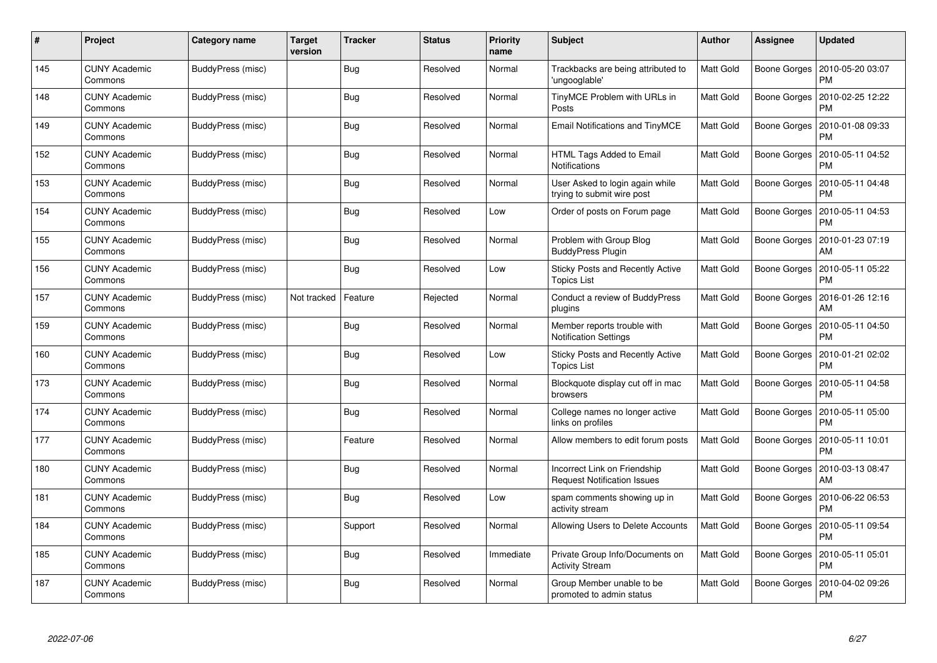| $\#$ | Project                         | Category name     | <b>Target</b><br>version | <b>Tracker</b> | <b>Status</b> | <b>Priority</b><br>name | <b>Subject</b>                                                     | <b>Author</b>    | Assignee            | <b>Updated</b>                |
|------|---------------------------------|-------------------|--------------------------|----------------|---------------|-------------------------|--------------------------------------------------------------------|------------------|---------------------|-------------------------------|
| 145  | <b>CUNY Academic</b><br>Commons | BuddyPress (misc) |                          | Bug            | Resolved      | Normal                  | Trackbacks are being attributed to<br>'ungooglable'                | <b>Matt Gold</b> | Boone Gorges        | 2010-05-20 03:07<br><b>PM</b> |
| 148  | <b>CUNY Academic</b><br>Commons | BuddyPress (misc) |                          | Bug            | Resolved      | Normal                  | TinyMCE Problem with URLs in<br>Posts                              | <b>Matt Gold</b> | Boone Gorges        | 2010-02-25 12:22<br><b>PM</b> |
| 149  | <b>CUNY Academic</b><br>Commons | BuddyPress (misc) |                          | Bug            | Resolved      | Normal                  | <b>Email Notifications and TinyMCE</b>                             | <b>Matt Gold</b> | Boone Gorges        | 2010-01-08 09:33<br>PM        |
| 152  | <b>CUNY Academic</b><br>Commons | BuddyPress (misc) |                          | <b>Bug</b>     | Resolved      | Normal                  | HTML Tags Added to Email<br><b>Notifications</b>                   | Matt Gold        | Boone Gorges        | 2010-05-11 04:52<br>PM        |
| 153  | <b>CUNY Academic</b><br>Commons | BuddyPress (misc) |                          | Bug            | Resolved      | Normal                  | User Asked to login again while<br>trying to submit wire post      | <b>Matt Gold</b> | Boone Gorges        | 2010-05-11 04:48<br>PM        |
| 154  | <b>CUNY Academic</b><br>Commons | BuddyPress (misc) |                          | Bug            | Resolved      | Low                     | Order of posts on Forum page                                       | <b>Matt Gold</b> | Boone Gorges        | 2010-05-11 04:53<br>PM        |
| 155  | <b>CUNY Academic</b><br>Commons | BuddyPress (misc) |                          | Bug            | Resolved      | Normal                  | Problem with Group Blog<br><b>BuddyPress Plugin</b>                | Matt Gold        | Boone Gorges        | 2010-01-23 07:19<br>AM        |
| 156  | <b>CUNY Academic</b><br>Commons | BuddyPress (misc) |                          | Bug            | Resolved      | Low                     | Sticky Posts and Recently Active<br><b>Topics List</b>             | Matt Gold        | Boone Gorges        | 2010-05-11 05:22<br>PM        |
| 157  | <b>CUNY Academic</b><br>Commons | BuddyPress (misc) | Not tracked              | Feature        | Rejected      | Normal                  | Conduct a review of BuddyPress<br>plugins                          | <b>Matt Gold</b> | Boone Gorges        | 2016-01-26 12:16<br>AM        |
| 159  | <b>CUNY Academic</b><br>Commons | BuddyPress (misc) |                          | <b>Bug</b>     | Resolved      | Normal                  | Member reports trouble with<br><b>Notification Settings</b>        | <b>Matt Gold</b> | Boone Gorges        | 2010-05-11 04:50<br>PM        |
| 160  | <b>CUNY Academic</b><br>Commons | BuddyPress (misc) |                          | Bug            | Resolved      | Low                     | <b>Sticky Posts and Recently Active</b><br><b>Topics List</b>      | Matt Gold        | Boone Gorges        | 2010-01-21 02:02<br>PM        |
| 173  | <b>CUNY Academic</b><br>Commons | BuddyPress (misc) |                          | <b>Bug</b>     | Resolved      | Normal                  | Blockquote display cut off in mac<br>browsers                      | Matt Gold        | Boone Gorges        | 2010-05-11 04:58<br>PM        |
| 174  | <b>CUNY Academic</b><br>Commons | BuddyPress (misc) |                          | Bug            | Resolved      | Normal                  | College names no longer active<br>links on profiles                | Matt Gold        | Boone Gorges        | 2010-05-11 05:00<br><b>PM</b> |
| 177  | <b>CUNY Academic</b><br>Commons | BuddyPress (misc) |                          | Feature        | Resolved      | Normal                  | Allow members to edit forum posts                                  | <b>Matt Gold</b> | Boone Gorges        | 2010-05-11 10:01<br>PM        |
| 180  | <b>CUNY Academic</b><br>Commons | BuddyPress (misc) |                          | <b>Bug</b>     | Resolved      | Normal                  | Incorrect Link on Friendship<br><b>Request Notification Issues</b> | Matt Gold        | <b>Boone Gorges</b> | 2010-03-13 08:47<br>AM        |
| 181  | <b>CUNY Academic</b><br>Commons | BuddyPress (misc) |                          | Bug            | Resolved      | Low                     | spam comments showing up in<br>activity stream                     | Matt Gold        | Boone Gorges        | 2010-06-22 06:53<br>PM        |
| 184  | <b>CUNY Academic</b><br>Commons | BuddyPress (misc) |                          | Support        | Resolved      | Normal                  | Allowing Users to Delete Accounts                                  | Matt Gold        | Boone Gorges        | 2010-05-11 09:54<br><b>PM</b> |
| 185  | <b>CUNY Academic</b><br>Commons | BuddyPress (misc) |                          | <b>Bug</b>     | Resolved      | Immediate               | Private Group Info/Documents on<br><b>Activity Stream</b>          | Matt Gold        | Boone Gorges        | 2010-05-11 05:01<br>PM        |
| 187  | CUNY Academic<br>Commons        | BuddyPress (misc) |                          | <b>Bug</b>     | Resolved      | Normal                  | Group Member unable to be<br>promoted to admin status              | Matt Gold        | Boone Gorges        | 2010-04-02 09:26<br><b>PM</b> |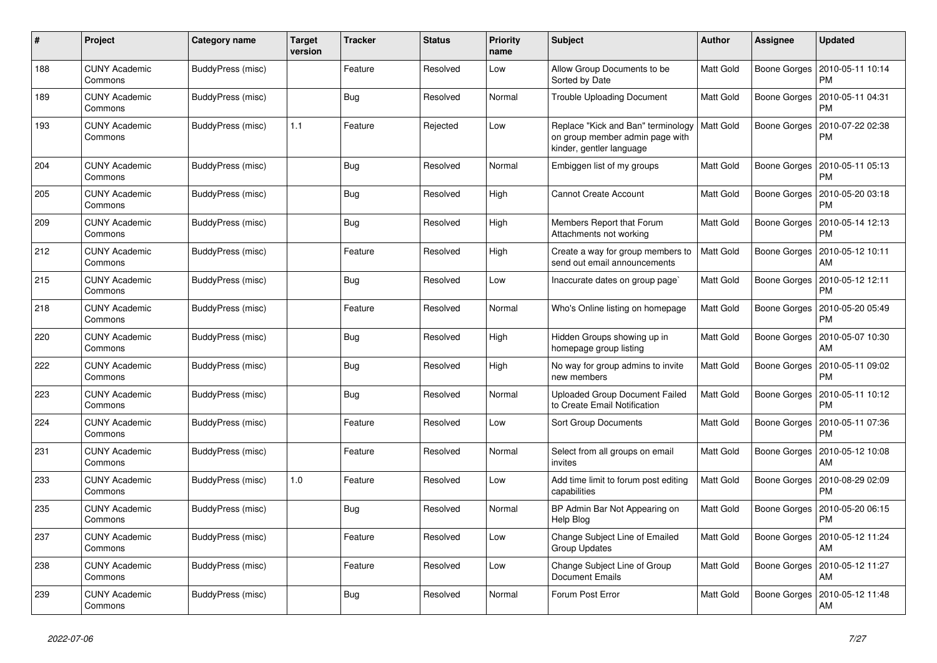| #   | Project                         | Category name     | <b>Target</b><br>version | <b>Tracker</b> | <b>Status</b> | <b>Priority</b><br>name | <b>Subject</b>                                                                                    | <b>Author</b>    | Assignee            | <b>Updated</b>                        |
|-----|---------------------------------|-------------------|--------------------------|----------------|---------------|-------------------------|---------------------------------------------------------------------------------------------------|------------------|---------------------|---------------------------------------|
| 188 | <b>CUNY Academic</b><br>Commons | BuddyPress (misc) |                          | Feature        | Resolved      | Low                     | Allow Group Documents to be<br>Sorted by Date                                                     | <b>Matt Gold</b> | Boone Gorges        | 2010-05-11 10:14<br><b>PM</b>         |
| 189 | <b>CUNY Academic</b><br>Commons | BuddyPress (misc) |                          | Bug            | Resolved      | Normal                  | <b>Trouble Uploading Document</b>                                                                 | Matt Gold        | Boone Gorges        | 2010-05-11 04:31<br>PM                |
| 193 | <b>CUNY Academic</b><br>Commons | BuddyPress (misc) | 1.1                      | Feature        | Rejected      | Low                     | Replace "Kick and Ban" terminology<br>on group member admin page with<br>kinder, gentler language | <b>Matt Gold</b> | Boone Gorges        | 2010-07-22 02:38<br>PM                |
| 204 | <b>CUNY Academic</b><br>Commons | BuddyPress (misc) |                          | Bug            | Resolved      | Normal                  | Embiggen list of my groups                                                                        | Matt Gold        | Boone Gorges        | 2010-05-11 05:13<br><b>PM</b>         |
| 205 | <b>CUNY Academic</b><br>Commons | BuddyPress (misc) |                          | Bug            | Resolved      | High                    | <b>Cannot Create Account</b>                                                                      | <b>Matt Gold</b> | Boone Gorges        | 2010-05-20 03:18<br><b>PM</b>         |
| 209 | <b>CUNY Academic</b><br>Commons | BuddyPress (misc) |                          | Bug            | Resolved      | High                    | Members Report that Forum<br>Attachments not working                                              | Matt Gold        | Boone Gorges        | 2010-05-14 12:13<br><b>PM</b>         |
| 212 | <b>CUNY Academic</b><br>Commons | BuddyPress (misc) |                          | Feature        | Resolved      | High                    | Create a way for group members to<br>send out email announcements                                 | Matt Gold        | Boone Gorges        | 2010-05-12 10:11<br>AM                |
| 215 | <b>CUNY Academic</b><br>Commons | BuddyPress (misc) |                          | Bug            | Resolved      | Low                     | Inaccurate dates on group page`                                                                   | <b>Matt Gold</b> | Boone Gorges        | 2010-05-12 12:11<br>PM                |
| 218 | <b>CUNY Academic</b><br>Commons | BuddyPress (misc) |                          | Feature        | Resolved      | Normal                  | Who's Online listing on homepage                                                                  | Matt Gold        | Boone Gorges        | 2010-05-20 05:49<br><b>PM</b>         |
| 220 | <b>CUNY Academic</b><br>Commons | BuddyPress (misc) |                          | <b>Bug</b>     | Resolved      | High                    | Hidden Groups showing up in<br>homepage group listing                                             | Matt Gold        | <b>Boone Gorges</b> | 2010-05-07 10:30<br>AM                |
| 222 | <b>CUNY Academic</b><br>Commons | BuddyPress (misc) |                          | <b>Bug</b>     | Resolved      | High                    | No way for group admins to invite<br>new members                                                  | Matt Gold        | Boone Gorges        | 2010-05-11 09:02<br><b>PM</b>         |
| 223 | <b>CUNY Academic</b><br>Commons | BuddyPress (misc) |                          | Bug            | Resolved      | Normal                  | <b>Uploaded Group Document Failed</b><br>to Create Email Notification                             | Matt Gold        | Boone Gorges        | 2010-05-11 10:12<br><b>PM</b>         |
| 224 | <b>CUNY Academic</b><br>Commons | BuddyPress (misc) |                          | Feature        | Resolved      | Low                     | <b>Sort Group Documents</b>                                                                       | Matt Gold        | Boone Gorges        | 2010-05-11 07:36<br>PM                |
| 231 | <b>CUNY Academic</b><br>Commons | BuddyPress (misc) |                          | Feature        | Resolved      | Normal                  | Select from all groups on email<br>invites                                                        | Matt Gold        | Boone Gorges        | 2010-05-12 10:08<br>AM                |
| 233 | <b>CUNY Academic</b><br>Commons | BuddyPress (misc) | 1.0                      | Feature        | Resolved      | Low                     | Add time limit to forum post editing<br>capabilities                                              | Matt Gold        | Boone Gorges        | 2010-08-29 02:09<br><b>PM</b>         |
| 235 | <b>CUNY Academic</b><br>Commons | BuddyPress (misc) |                          | Bug            | Resolved      | Normal                  | BP Admin Bar Not Appearing on<br>Help Blog                                                        | Matt Gold        | <b>Boone Gorges</b> | 2010-05-20 06:15<br>PM                |
| 237 | <b>CUNY Academic</b><br>Commons | BuddyPress (misc) |                          | Feature        | Resolved      | Low                     | Change Subject Line of Emailed<br><b>Group Updates</b>                                            | Matt Gold        |                     | Boone Gorges   2010-05-12 11:24<br>AM |
| 238 | <b>CUNY Academic</b><br>Commons | BuddyPress (misc) |                          | Feature        | Resolved      | Low                     | Change Subject Line of Group<br><b>Document Emails</b>                                            | Matt Gold        | Boone Gorges        | 2010-05-12 11:27<br>AM                |
| 239 | <b>CUNY Academic</b><br>Commons | BuddyPress (misc) |                          | <b>Bug</b>     | Resolved      | Normal                  | Forum Post Error                                                                                  | Matt Gold        | <b>Boone Gorges</b> | 2010-05-12 11:48<br>AM                |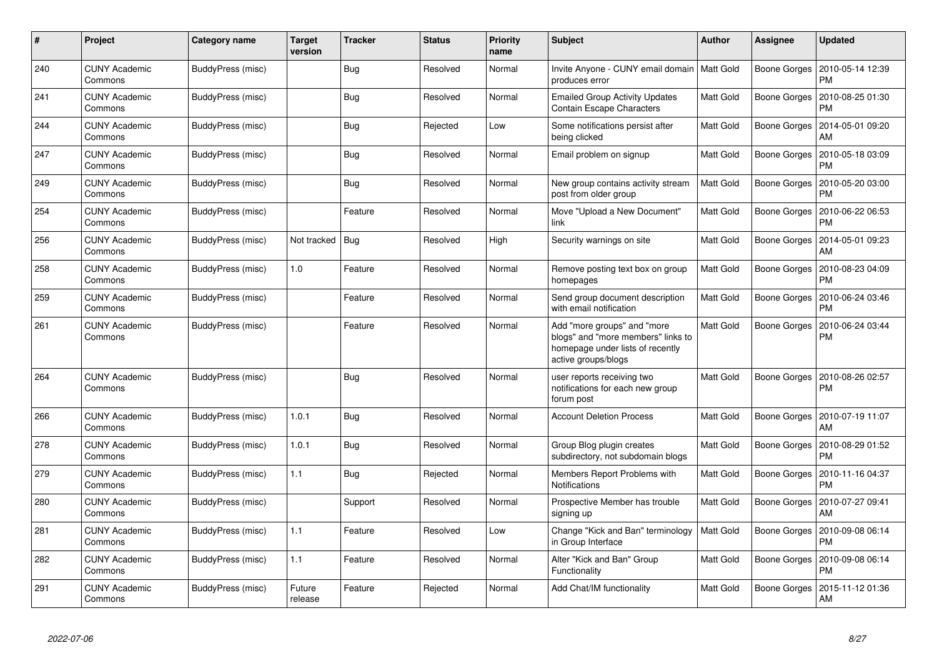| #   | Project                         | Category name     | <b>Target</b><br>version | <b>Tracker</b> | <b>Status</b> | <b>Priority</b><br>name | <b>Subject</b>                                                                                                               | <b>Author</b>    | Assignee     | <b>Updated</b>                |
|-----|---------------------------------|-------------------|--------------------------|----------------|---------------|-------------------------|------------------------------------------------------------------------------------------------------------------------------|------------------|--------------|-------------------------------|
| 240 | <b>CUNY Academic</b><br>Commons | BuddyPress (misc) |                          | Bug            | Resolved      | Normal                  | Invite Anyone - CUNY email domain   Matt Gold<br>produces error                                                              |                  | Boone Gorges | 2010-05-14 12:39<br><b>PM</b> |
| 241 | <b>CUNY Academic</b><br>Commons | BuddyPress (misc) |                          | <b>Bug</b>     | Resolved      | Normal                  | <b>Emailed Group Activity Updates</b><br>Contain Escape Characters                                                           | Matt Gold        | Boone Gorges | 2010-08-25 01:30<br><b>PM</b> |
| 244 | <b>CUNY Academic</b><br>Commons | BuddyPress (misc) |                          | Bug            | Rejected      | Low                     | Some notifications persist after<br>being clicked                                                                            | <b>Matt Gold</b> | Boone Gorges | 2014-05-01 09:20<br>AM        |
| 247 | <b>CUNY Academic</b><br>Commons | BuddyPress (misc) |                          | Bug            | Resolved      | Normal                  | Email problem on signup                                                                                                      | Matt Gold        | Boone Gorges | 2010-05-18 03:09<br>PM        |
| 249 | <b>CUNY Academic</b><br>Commons | BuddyPress (misc) |                          | <b>Bug</b>     | Resolved      | Normal                  | New group contains activity stream<br>post from older group                                                                  | Matt Gold        | Boone Gorges | 2010-05-20 03:00<br><b>PM</b> |
| 254 | <b>CUNY Academic</b><br>Commons | BuddyPress (misc) |                          | Feature        | Resolved      | Normal                  | Move "Upload a New Document"<br>link                                                                                         | Matt Gold        | Boone Gorges | 2010-06-22 06:53<br><b>PM</b> |
| 256 | <b>CUNY Academic</b><br>Commons | BuddyPress (misc) | Not tracked              | Bug            | Resolved      | High                    | Security warnings on site                                                                                                    | Matt Gold        | Boone Gorges | 2014-05-01 09:23<br>AM        |
| 258 | <b>CUNY Academic</b><br>Commons | BuddyPress (misc) | 1.0                      | Feature        | Resolved      | Normal                  | Remove posting text box on group<br>homepages                                                                                | <b>Matt Gold</b> | Boone Gorges | 2010-08-23 04:09<br><b>PM</b> |
| 259 | <b>CUNY Academic</b><br>Commons | BuddyPress (misc) |                          | Feature        | Resolved      | Normal                  | Send group document description<br>with email notification                                                                   | Matt Gold        | Boone Gorges | 2010-06-24 03:46<br>PM        |
| 261 | <b>CUNY Academic</b><br>Commons | BuddyPress (misc) |                          | Feature        | Resolved      | Normal                  | Add "more groups" and "more<br>blogs" and "more members" links to<br>homepage under lists of recently<br>active groups/blogs | <b>Matt Gold</b> | Boone Gorges | 2010-06-24 03:44<br>PM        |
| 264 | <b>CUNY Academic</b><br>Commons | BuddyPress (misc) |                          | Bug            | Resolved      | Normal                  | user reports receiving two<br>notifications for each new group<br>forum post                                                 | Matt Gold        | Boone Gorges | 2010-08-26 02:57<br><b>PM</b> |
| 266 | <b>CUNY Academic</b><br>Commons | BuddyPress (misc) | 1.0.1                    | Bug            | Resolved      | Normal                  | <b>Account Deletion Process</b>                                                                                              | Matt Gold        | Boone Gorges | 2010-07-19 11:07<br>AM        |
| 278 | <b>CUNY Academic</b><br>Commons | BuddyPress (misc) | 1.0.1                    | Bug            | Resolved      | Normal                  | Group Blog plugin creates<br>subdirectory, not subdomain blogs                                                               | Matt Gold        | Boone Gorges | 2010-08-29 01:52<br><b>PM</b> |
| 279 | <b>CUNY Academic</b><br>Commons | BuddyPress (misc) | 1.1                      | Bug            | Rejected      | Normal                  | Members Report Problems with<br>Notifications                                                                                | Matt Gold        | Boone Gorges | 2010-11-16 04:37<br>PM        |
| 280 | <b>CUNY Academic</b><br>Commons | BuddyPress (misc) |                          | Support        | Resolved      | Normal                  | Prospective Member has trouble<br>signing up                                                                                 | Matt Gold        | Boone Gorges | 2010-07-27 09:41<br>AM        |
| 281 | <b>CUNY Academic</b><br>Commons | BuddyPress (misc) | 1.1                      | Feature        | Resolved      | Low                     | Change "Kick and Ban" terminology<br>in Group Interface                                                                      | <b>Matt Gold</b> | Boone Gorges | 2010-09-08 06:14<br><b>PM</b> |
| 282 | <b>CUNY Academic</b><br>Commons | BuddyPress (misc) | 1.1                      | Feature        | Resolved      | Normal                  | Alter "Kick and Ban" Group<br>Functionality                                                                                  | Matt Gold        | Boone Gorges | 2010-09-08 06:14<br><b>PM</b> |
| 291 | <b>CUNY Academic</b><br>Commons | BuddyPress (misc) | Future<br>release        | Feature        | Rejected      | Normal                  | Add Chat/IM functionality                                                                                                    | Matt Gold        | Boone Gorges | 2015-11-12 01:36<br>AM        |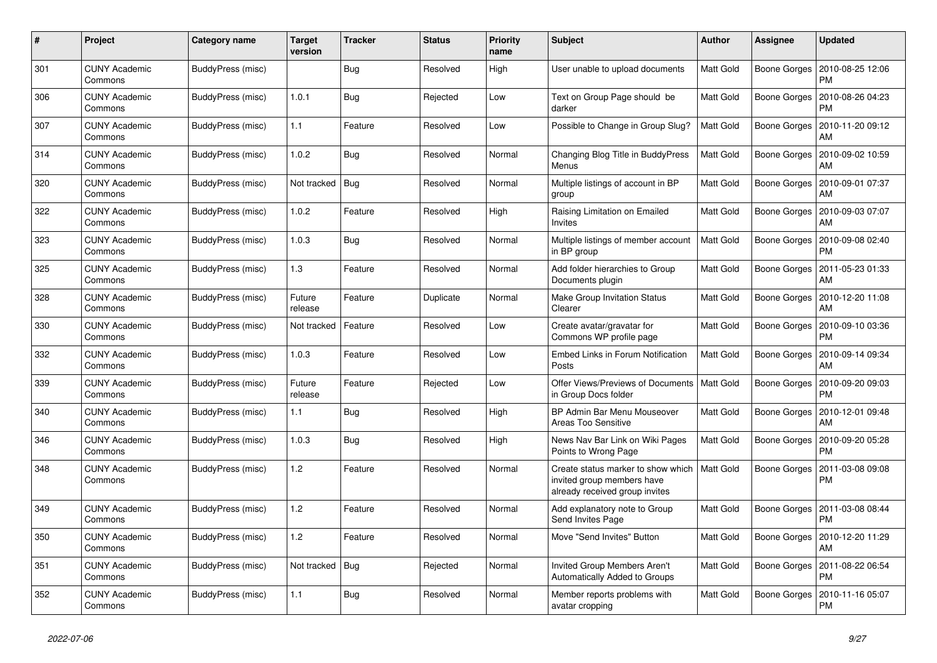| #   | Project                         | Category name     | <b>Target</b><br>version | <b>Tracker</b> | <b>Status</b> | <b>Priority</b><br>name | <b>Subject</b>                                                                                     | <b>Author</b>    | <b>Assignee</b> | Updated                       |
|-----|---------------------------------|-------------------|--------------------------|----------------|---------------|-------------------------|----------------------------------------------------------------------------------------------------|------------------|-----------------|-------------------------------|
| 301 | <b>CUNY Academic</b><br>Commons | BuddyPress (misc) |                          | Bug            | Resolved      | High                    | User unable to upload documents                                                                    | <b>Matt Gold</b> | Boone Gorges    | 2010-08-25 12:06<br><b>PM</b> |
| 306 | <b>CUNY Academic</b><br>Commons | BuddyPress (misc) | 1.0.1                    | Bug            | Rejected      | Low                     | Text on Group Page should be<br>darker                                                             | Matt Gold        | Boone Gorges    | 2010-08-26 04:23<br>PM        |
| 307 | <b>CUNY Academic</b><br>Commons | BuddyPress (misc) | 1.1                      | Feature        | Resolved      | Low                     | Possible to Change in Group Slug?                                                                  | Matt Gold        | Boone Gorges    | 2010-11-20 09:12<br>AM        |
| 314 | <b>CUNY Academic</b><br>Commons | BuddyPress (misc) | 1.0.2                    | Bug            | Resolved      | Normal                  | Changing Blog Title in BuddyPress<br>Menus                                                         | Matt Gold        | Boone Gorges    | 2010-09-02 10:59<br>AM        |
| 320 | <b>CUNY Academic</b><br>Commons | BuddyPress (misc) | Not tracked              | Bug            | Resolved      | Normal                  | Multiple listings of account in BP<br>group                                                        | Matt Gold        | Boone Gorges    | 2010-09-01 07:37<br>AM        |
| 322 | <b>CUNY Academic</b><br>Commons | BuddyPress (misc) | 1.0.2                    | Feature        | Resolved      | High                    | Raising Limitation on Emailed<br>Invites                                                           | Matt Gold        | Boone Gorges    | 2010-09-03 07:07<br>AM        |
| 323 | <b>CUNY Academic</b><br>Commons | BuddyPress (misc) | 1.0.3                    | Bug            | Resolved      | Normal                  | Multiple listings of member account<br>in BP group                                                 | <b>Matt Gold</b> | Boone Gorges    | 2010-09-08 02:40<br><b>PM</b> |
| 325 | <b>CUNY Academic</b><br>Commons | BuddyPress (misc) | 1.3                      | Feature        | Resolved      | Normal                  | Add folder hierarchies to Group<br>Documents plugin                                                | Matt Gold        | Boone Gorges    | 2011-05-23 01:33<br>AM        |
| 328 | <b>CUNY Academic</b><br>Commons | BuddyPress (misc) | Future<br>release        | Feature        | Duplicate     | Normal                  | Make Group Invitation Status<br>Clearer                                                            | Matt Gold        | Boone Gorges    | 2010-12-20 11:08<br>AM        |
| 330 | <b>CUNY Academic</b><br>Commons | BuddyPress (misc) | Not tracked              | Feature        | Resolved      | Low                     | Create avatar/gravatar for<br>Commons WP profile page                                              | Matt Gold        | Boone Gorges    | 2010-09-10 03:36<br><b>PM</b> |
| 332 | <b>CUNY Academic</b><br>Commons | BuddyPress (misc) | 1.0.3                    | Feature        | Resolved      | Low                     | Embed Links in Forum Notification<br>Posts                                                         | <b>Matt Gold</b> | Boone Gorges    | 2010-09-14 09:34<br>AM        |
| 339 | <b>CUNY Academic</b><br>Commons | BuddyPress (misc) | Future<br>release        | Feature        | Rejected      | Low                     | Offer Views/Previews of Documents<br>in Group Docs folder                                          | <b>Matt Gold</b> | Boone Gorges    | 2010-09-20 09:03<br><b>PM</b> |
| 340 | <b>CUNY Academic</b><br>Commons | BuddyPress (misc) | 1.1                      | Bug            | Resolved      | High                    | BP Admin Bar Menu Mouseover<br>Areas Too Sensitive                                                 | Matt Gold        | Boone Gorges    | 2010-12-01 09:48<br>AM        |
| 346 | <b>CUNY Academic</b><br>Commons | BuddyPress (misc) | 1.0.3                    | <b>Bug</b>     | Resolved      | High                    | News Nav Bar Link on Wiki Pages<br>Points to Wrong Page                                            | Matt Gold        | Boone Gorges    | 2010-09-20 05:28<br><b>PM</b> |
| 348 | <b>CUNY Academic</b><br>Commons | BuddyPress (misc) | 1.2                      | Feature        | Resolved      | Normal                  | Create status marker to show which<br>invited group members have<br>already received group invites | Matt Gold        | Boone Gorges    | 2011-03-08 09:08<br>PM        |
| 349 | <b>CUNY Academic</b><br>Commons | BuddyPress (misc) | 1.2                      | Feature        | Resolved      | Normal                  | Add explanatory note to Group<br>Send Invites Page                                                 | Matt Gold        | Boone Gorges    | 2011-03-08 08:44<br>PM        |
| 350 | <b>CUNY Academic</b><br>Commons | BuddyPress (misc) | 1.2                      | Feature        | Resolved      | Normal                  | Move "Send Invites" Button                                                                         | Matt Gold        | Boone Gorges    | 2010-12-20 11:29<br>AM        |
| 351 | <b>CUNY Academic</b><br>Commons | BuddyPress (misc) | Not tracked              | <b>Bug</b>     | Rejected      | Normal                  | Invited Group Members Aren't<br>Automatically Added to Groups                                      | Matt Gold        | Boone Gorges    | 2011-08-22 06:54<br><b>PM</b> |
| 352 | <b>CUNY Academic</b><br>Commons | BuddyPress (misc) | 1.1                      | <b>Bug</b>     | Resolved      | Normal                  | Member reports problems with<br>avatar cropping                                                    | Matt Gold        | Boone Gorges    | 2010-11-16 05:07<br>PM        |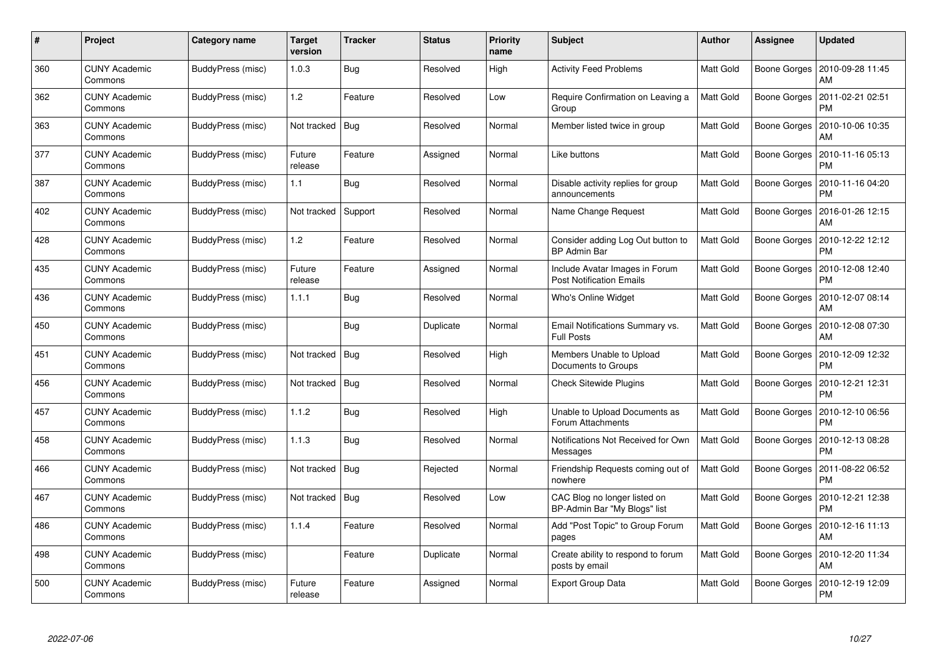| #   | Project                         | Category name     | <b>Target</b><br>version | <b>Tracker</b> | <b>Status</b> | <b>Priority</b><br>name | <b>Subject</b>                                                    | <b>Author</b>    | <b>Assignee</b>     | Updated                       |
|-----|---------------------------------|-------------------|--------------------------|----------------|---------------|-------------------------|-------------------------------------------------------------------|------------------|---------------------|-------------------------------|
| 360 | <b>CUNY Academic</b><br>Commons | BuddyPress (misc) | 1.0.3                    | Bug            | Resolved      | High                    | <b>Activity Feed Problems</b>                                     | Matt Gold        | Boone Gorges        | 2010-09-28 11:45<br>AM        |
| 362 | <b>CUNY Academic</b><br>Commons | BuddyPress (misc) | 1.2                      | Feature        | Resolved      | Low                     | Require Confirmation on Leaving a<br>Group                        | <b>Matt Gold</b> | <b>Boone Gorges</b> | 2011-02-21 02:51<br><b>PM</b> |
| 363 | <b>CUNY Academic</b><br>Commons | BuddyPress (misc) | Not tracked              | <b>Bug</b>     | Resolved      | Normal                  | Member listed twice in group                                      | Matt Gold        | Boone Gorges        | 2010-10-06 10:35<br>AM        |
| 377 | <b>CUNY Academic</b><br>Commons | BuddyPress (misc) | Future<br>release        | Feature        | Assigned      | Normal                  | Like buttons                                                      | Matt Gold        | Boone Gorges        | 2010-11-16 05:13<br>PM        |
| 387 | <b>CUNY Academic</b><br>Commons | BuddyPress (misc) | 1.1                      | Bug            | Resolved      | Normal                  | Disable activity replies for group<br>announcements               | Matt Gold        | Boone Gorges        | 2010-11-16 04:20<br><b>PM</b> |
| 402 | <b>CUNY Academic</b><br>Commons | BuddyPress (misc) | Not tracked              | Support        | Resolved      | Normal                  | Name Change Request                                               | Matt Gold        | Boone Gorges        | 2016-01-26 12:15<br>AM        |
| 428 | <b>CUNY Academic</b><br>Commons | BuddyPress (misc) | 1.2                      | Feature        | Resolved      | Normal                  | Consider adding Log Out button to<br><b>BP Admin Bar</b>          | <b>Matt Gold</b> | Boone Gorges        | 2010-12-22 12:12<br>PM        |
| 435 | <b>CUNY Academic</b><br>Commons | BuddyPress (misc) | Future<br>release        | Feature        | Assigned      | Normal                  | Include Avatar Images in Forum<br><b>Post Notification Emails</b> | Matt Gold        | Boone Gorges        | 2010-12-08 12:40<br><b>PM</b> |
| 436 | <b>CUNY Academic</b><br>Commons | BuddyPress (misc) | 1.1.1                    | <b>Bug</b>     | Resolved      | Normal                  | Who's Online Widget                                               | Matt Gold        | Boone Gorges        | 2010-12-07 08:14<br>AM        |
| 450 | <b>CUNY Academic</b><br>Commons | BuddyPress (misc) |                          | <b>Bug</b>     | Duplicate     | Normal                  | Email Notifications Summary vs.<br><b>Full Posts</b>              | Matt Gold        | Boone Gorges        | 2010-12-08 07:30<br>AM        |
| 451 | <b>CUNY Academic</b><br>Commons | BuddyPress (misc) | Not tracked              | <b>Bug</b>     | Resolved      | High                    | Members Unable to Upload<br>Documents to Groups                   | Matt Gold        | Boone Gorges        | 2010-12-09 12:32<br><b>PM</b> |
| 456 | <b>CUNY Academic</b><br>Commons | BuddyPress (misc) | Not tracked   Bug        |                | Resolved      | Normal                  | <b>Check Sitewide Plugins</b>                                     | Matt Gold        | Boone Gorges        | 2010-12-21 12:31<br>PМ        |
| 457 | <b>CUNY Academic</b><br>Commons | BuddyPress (misc) | 1.1.2                    | <b>Bug</b>     | Resolved      | High                    | Unable to Upload Documents as<br>Forum Attachments                | Matt Gold        | Boone Gorges        | 2010-12-10 06:56<br><b>PM</b> |
| 458 | <b>CUNY Academic</b><br>Commons | BuddyPress (misc) | 1.1.3                    | Bug            | Resolved      | Normal                  | Notifications Not Received for Own<br>Messages                    | Matt Gold        | Boone Gorges        | 2010-12-13 08:28<br>PM        |
| 466 | <b>CUNY Academic</b><br>Commons | BuddyPress (misc) | Not tracked              | <b>Bug</b>     | Rejected      | Normal                  | Friendship Requests coming out of<br>nowhere                      | Matt Gold        | Boone Gorges        | 2011-08-22 06:52<br>PM        |
| 467 | <b>CUNY Academic</b><br>Commons | BuddyPress (misc) | Not tracked   Bug        |                | Resolved      | Low                     | CAC Blog no longer listed on<br>BP-Admin Bar "My Blogs" list      | Matt Gold        | Boone Gorges        | 2010-12-21 12:38<br><b>PM</b> |
| 486 | <b>CUNY Academic</b><br>Commons | BuddyPress (misc) | 1.1.4                    | Feature        | Resolved      | Normal                  | Add "Post Topic" to Group Forum<br>pages                          | Matt Gold        | Boone Gorges        | 2010-12-16 11:13<br>AM        |
| 498 | <b>CUNY Academic</b><br>Commons | BuddyPress (misc) |                          | Feature        | Duplicate     | Normal                  | Create ability to respond to forum<br>posts by email              | Matt Gold        | Boone Gorges        | 2010-12-20 11:34<br>AM        |
| 500 | <b>CUNY Academic</b><br>Commons | BuddyPress (misc) | Future<br>release        | Feature        | Assigned      | Normal                  | <b>Export Group Data</b>                                          | Matt Gold        | Boone Gorges        | 2010-12-19 12:09<br><b>PM</b> |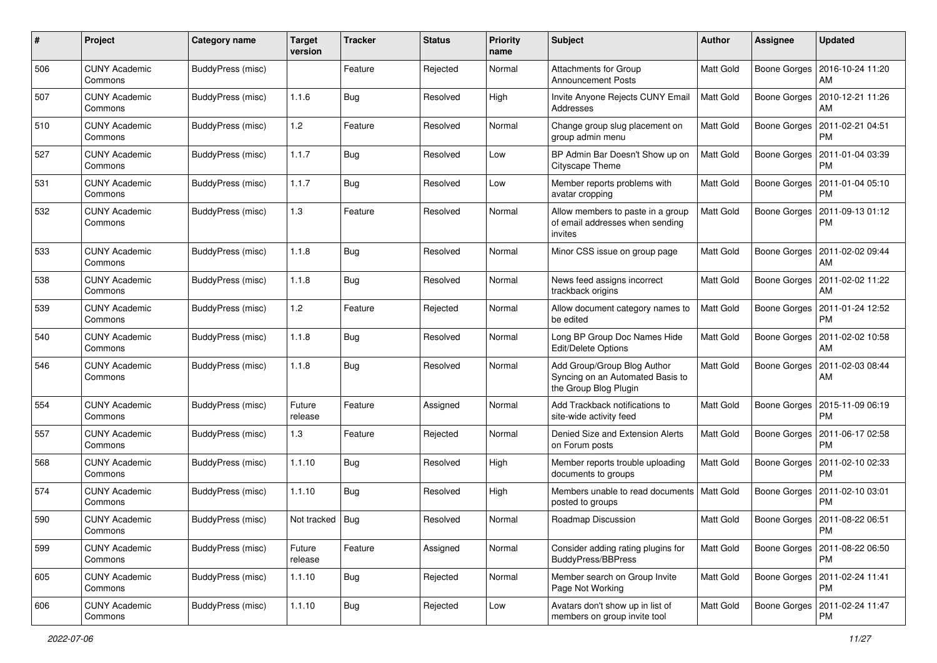| #   | Project                         | <b>Category name</b>     | <b>Target</b><br>version | <b>Tracker</b> | <b>Status</b> | <b>Priority</b><br>name | Subject                                                                                  | <b>Author</b>    | Assignee            | <b>Updated</b>                               |
|-----|---------------------------------|--------------------------|--------------------------|----------------|---------------|-------------------------|------------------------------------------------------------------------------------------|------------------|---------------------|----------------------------------------------|
| 506 | <b>CUNY Academic</b><br>Commons | <b>BuddyPress (misc)</b> |                          | Feature        | Rejected      | Normal                  | Attachments for Group<br><b>Announcement Posts</b>                                       | Matt Gold        | <b>Boone Gorges</b> | 2016-10-24 11:20<br>AM                       |
| 507 | <b>CUNY Academic</b><br>Commons | <b>BuddyPress (misc)</b> | 1.1.6                    | Bug            | Resolved      | High                    | Invite Anyone Rejects CUNY Email<br>Addresses                                            | <b>Matt Gold</b> | Boone Gorges        | 2010-12-21 11:26<br>AM                       |
| 510 | <b>CUNY Academic</b><br>Commons | BuddyPress (misc)        | 1.2                      | Feature        | Resolved      | Normal                  | Change group slug placement on<br>group admin menu                                       | Matt Gold        | <b>Boone Gorges</b> | 2011-02-21 04:51<br><b>PM</b>                |
| 527 | <b>CUNY Academic</b><br>Commons | BuddyPress (misc)        | 1.1.7                    | <b>Bug</b>     | Resolved      | Low                     | BP Admin Bar Doesn't Show up on<br>Cityscape Theme                                       | <b>Matt Gold</b> | <b>Boone Gorges</b> | 2011-01-04 03:39<br><b>PM</b>                |
| 531 | <b>CUNY Academic</b><br>Commons | BuddyPress (misc)        | 1.1.7                    | Bug            | Resolved      | Low                     | Member reports problems with<br>avatar cropping                                          | <b>Matt Gold</b> | Boone Gorges        | 2011-01-04 05:10<br><b>PM</b>                |
| 532 | <b>CUNY Academic</b><br>Commons | BuddyPress (misc)        | 1.3                      | Feature        | Resolved      | Normal                  | Allow members to paste in a group<br>of email addresses when sending<br>invites          | Matt Gold        | Boone Gorges        | 2011-09-13 01:12<br><b>PM</b>                |
| 533 | <b>CUNY Academic</b><br>Commons | <b>BuddyPress (misc)</b> | 1.1.8                    | Bug            | Resolved      | Normal                  | Minor CSS issue on group page                                                            | <b>Matt Gold</b> | <b>Boone Gorges</b> | 2011-02-02 09:44<br>AM                       |
| 538 | <b>CUNY Academic</b><br>Commons | BuddyPress (misc)        | 1.1.8                    | Bug            | Resolved      | Normal                  | News feed assigns incorrect<br>trackback origins                                         | Matt Gold        | Boone Gorges        | 2011-02-02 11:22<br>AM                       |
| 539 | <b>CUNY Academic</b><br>Commons | <b>BuddyPress (misc)</b> | 1.2                      | Feature        | Rejected      | Normal                  | Allow document category names to<br>be edited                                            | Matt Gold        | Boone Gorges        | 2011-01-24 12:52<br><b>PM</b>                |
| 540 | <b>CUNY Academic</b><br>Commons | BuddyPress (misc)        | 1.1.8                    | Bug            | Resolved      | Normal                  | Long BP Group Doc Names Hide<br>Edit/Delete Options                                      | <b>Matt Gold</b> | <b>Boone Gorges</b> | 2011-02-02 10:58<br>AM                       |
| 546 | <b>CUNY Academic</b><br>Commons | <b>BuddyPress (misc)</b> | 1.1.8                    | Bug            | Resolved      | Normal                  | Add Group/Group Blog Author<br>Syncing on an Automated Basis to<br>the Group Blog Plugin | Matt Gold        | Boone Gorges        | 2011-02-03 08:44<br>AM                       |
| 554 | <b>CUNY Academic</b><br>Commons | BuddyPress (misc)        | Future<br>release        | Feature        | Assigned      | Normal                  | Add Trackback notifications to<br>site-wide activity feed                                | Matt Gold        | <b>Boone Gorges</b> | 2015-11-09 06:19<br><b>PM</b>                |
| 557 | <b>CUNY Academic</b><br>Commons | BuddyPress (misc)        | 1.3                      | Feature        | Rejected      | Normal                  | Denied Size and Extension Alerts<br>on Forum posts                                       | Matt Gold        | Boone Gorges        | 2011-06-17 02:58<br><b>PM</b>                |
| 568 | <b>CUNY Academic</b><br>Commons | BuddyPress (misc)        | 1.1.10                   | <b>Bug</b>     | Resolved      | High                    | Member reports trouble uploading<br>documents to groups                                  | Matt Gold        | <b>Boone Gorges</b> | 2011-02-10 02:33<br><b>PM</b>                |
| 574 | <b>CUNY Academic</b><br>Commons | BuddyPress (misc)        | 1.1.10                   | Bug            | Resolved      | High                    | Members unable to read documents<br>posted to groups                                     | Matt Gold        | Boone Gorges        | 2011-02-10 03:01<br><b>PM</b>                |
| 590 | <b>CUNY Academic</b><br>Commons | <b>BuddyPress (misc)</b> | Not tracked   Bug        |                | Resolved      | Normal                  | Roadmap Discussion                                                                       | Matt Gold        |                     | Boone Gorges   2011-08-22 06:51<br>PM        |
| 599 | <b>CUNY Academic</b><br>Commons | BuddyPress (misc)        | Future<br>release        | Feature        | Assigned      | Normal                  | Consider adding rating plugins for<br>BuddyPress/BBPress                                 | <b>Matt Gold</b> |                     | Boone Gorges   2011-08-22 06:50<br><b>PM</b> |
| 605 | <b>CUNY Academic</b><br>Commons | BuddyPress (misc)        | 1.1.10                   | <b>Bug</b>     | Rejected      | Normal                  | Member search on Group Invite<br>Page Not Working                                        | Matt Gold        |                     | Boone Gorges   2011-02-24 11:41<br><b>PM</b> |
| 606 | <b>CUNY Academic</b><br>Commons | BuddyPress (misc)        | 1.1.10                   | <b>Bug</b>     | Rejected      | Low                     | Avatars don't show up in list of<br>members on group invite tool                         | Matt Gold        |                     | Boone Gorges   2011-02-24 11:47<br><b>PM</b> |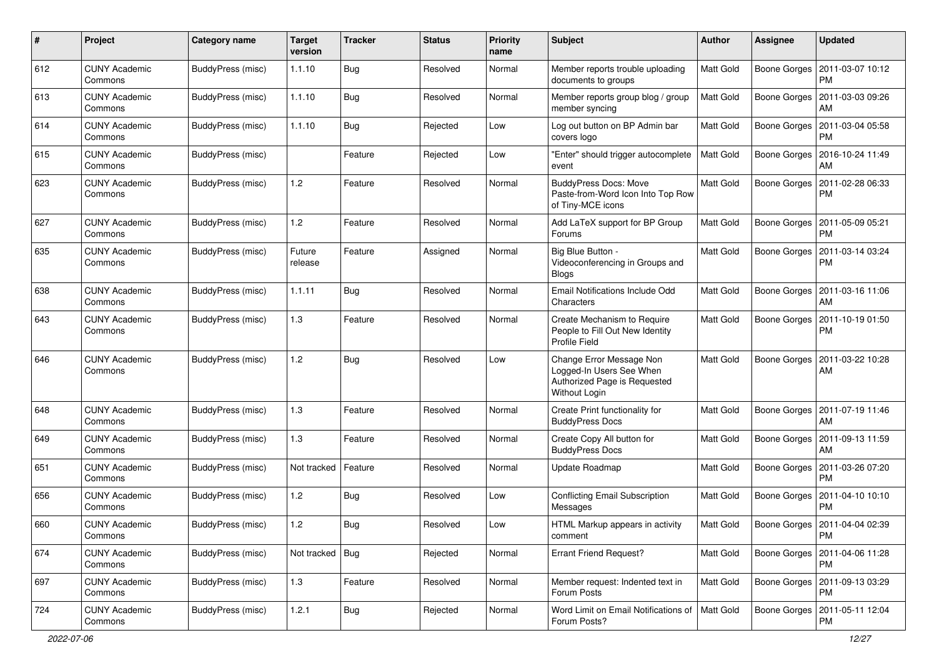| $\#$ | Project                         | <b>Category name</b>     | <b>Target</b><br>version | <b>Tracker</b> | <b>Status</b> | <b>Priority</b><br>name | <b>Subject</b>                                                                                        | Author           | <b>Assignee</b>     | <b>Updated</b>                               |
|------|---------------------------------|--------------------------|--------------------------|----------------|---------------|-------------------------|-------------------------------------------------------------------------------------------------------|------------------|---------------------|----------------------------------------------|
| 612  | <b>CUNY Academic</b><br>Commons | <b>BuddyPress (misc)</b> | 1.1.10                   | Bug            | Resolved      | Normal                  | Member reports trouble uploading<br>documents to groups                                               | Matt Gold        | Boone Gorges        | 2011-03-07 10:12<br><b>PM</b>                |
| 613  | <b>CUNY Academic</b><br>Commons | BuddyPress (misc)        | 1.1.10                   | Bug            | Resolved      | Normal                  | Member reports group blog / group<br>member syncing                                                   | <b>Matt Gold</b> |                     | Boone Gorges   2011-03-03 09:26<br>AM        |
| 614  | <b>CUNY Academic</b><br>Commons | BuddyPress (misc)        | 1.1.10                   | Bug            | Rejected      | Low                     | Log out button on BP Admin bar<br>covers logo                                                         | Matt Gold        | Boone Gorges        | 2011-03-04 05:58<br><b>PM</b>                |
| 615  | <b>CUNY Academic</b><br>Commons | BuddyPress (misc)        |                          | Feature        | Rejected      | Low                     | 'Enter" should trigger autocomplete<br>event                                                          | Matt Gold        | Boone Gorges        | 2016-10-24 11:49<br>AM                       |
| 623  | <b>CUNY Academic</b><br>Commons | BuddyPress (misc)        | $1.2$                    | Feature        | Resolved      | Normal                  | <b>BuddyPress Docs: Move</b><br>Paste-from-Word Icon Into Top Row<br>of Tiny-MCE icons                | <b>Matt Gold</b> | Boone Gorges        | 2011-02-28 06:33<br><b>PM</b>                |
| 627  | <b>CUNY Academic</b><br>Commons | BuddyPress (misc)        | 1.2                      | Feature        | Resolved      | Normal                  | Add LaTeX support for BP Group<br>Forums                                                              | <b>Matt Gold</b> | Boone Gorges        | 2011-05-09 05:21<br><b>PM</b>                |
| 635  | <b>CUNY Academic</b><br>Commons | BuddyPress (misc)        | Future<br>release        | Feature        | Assigned      | Normal                  | Big Blue Button -<br>Videoconferencing in Groups and<br><b>Blogs</b>                                  | Matt Gold        | <b>Boone Gorges</b> | 2011-03-14 03:24<br><b>PM</b>                |
| 638  | <b>CUNY Academic</b><br>Commons | BuddyPress (misc)        | 1.1.11                   | Bug            | Resolved      | Normal                  | Email Notifications Include Odd<br>Characters                                                         | Matt Gold        | Boone Gorges        | 2011-03-16 11:06<br>AM                       |
| 643  | <b>CUNY Academic</b><br>Commons | BuddyPress (misc)        | 1.3                      | Feature        | Resolved      | Normal                  | Create Mechanism to Require<br>People to Fill Out New Identity<br><b>Profile Field</b>                | <b>Matt Gold</b> | Boone Gorges        | 2011-10-19 01:50<br><b>PM</b>                |
| 646  | <b>CUNY Academic</b><br>Commons | BuddyPress (misc)        | 1.2                      | Bug            | Resolved      | Low                     | Change Error Message Non<br>Logged-In Users See When<br>Authorized Page is Requested<br>Without Login | Matt Gold        | Boone Gorges        | 2011-03-22 10:28<br>AM                       |
| 648  | <b>CUNY Academic</b><br>Commons | <b>BuddyPress (misc)</b> | 1.3                      | Feature        | Resolved      | Normal                  | Create Print functionality for<br><b>BuddyPress Docs</b>                                              | Matt Gold        |                     | Boone Gorges   2011-07-19 11:46<br>AM        |
| 649  | <b>CUNY Academic</b><br>Commons | BuddyPress (misc)        | 1.3                      | Feature        | Resolved      | Normal                  | Create Copy All button for<br><b>BuddyPress Docs</b>                                                  | Matt Gold        | <b>Boone Gorges</b> | 2011-09-13 11:59<br>AM                       |
| 651  | <b>CUNY Academic</b><br>Commons | BuddyPress (misc)        | Not tracked              | Feature        | Resolved      | Normal                  | Update Roadmap                                                                                        | <b>Matt Gold</b> | Boone Gorges        | 2011-03-26 07:20<br>PM                       |
| 656  | <b>CUNY Academic</b><br>Commons | BuddyPress (misc)        | 1.2                      | <b>Bug</b>     | Resolved      | Low                     | <b>Conflicting Email Subscription</b><br>Messages                                                     | Matt Gold        | Boone Gorges        | 2011-04-10 10:10<br><b>PM</b>                |
| 660  | <b>CUNY Academic</b><br>Commons | BuddyPress (misc)        | 1.2                      | <b>Bug</b>     | Resolved      | Low                     | HTML Markup appears in activity<br>comment                                                            | Matt Gold        |                     | Boone Gorges   2011-04-04 02:39<br>PM        |
| 674  | <b>CUNY Academic</b><br>Commons | BuddyPress (misc)        | Not tracked              | Bug            | Rejected      | Normal                  | <b>Errant Friend Request?</b>                                                                         | Matt Gold        | Boone Gorges        | 2011-04-06 11:28<br><b>PM</b>                |
| 697  | <b>CUNY Academic</b><br>Commons | BuddyPress (misc)        | 1.3                      | Feature        | Resolved      | Normal                  | Member request: Indented text in<br>Forum Posts                                                       | Matt Gold        |                     | Boone Gorges   2011-09-13 03:29<br><b>PM</b> |
| 724  | <b>CUNY Academic</b><br>Commons | BuddyPress (misc)        | 1.2.1                    | <b>Bug</b>     | Rejected      | Normal                  | Word Limit on Email Notifications of   Matt Gold<br>Forum Posts?                                      |                  |                     | Boone Gorges   2011-05-11 12:04<br><b>PM</b> |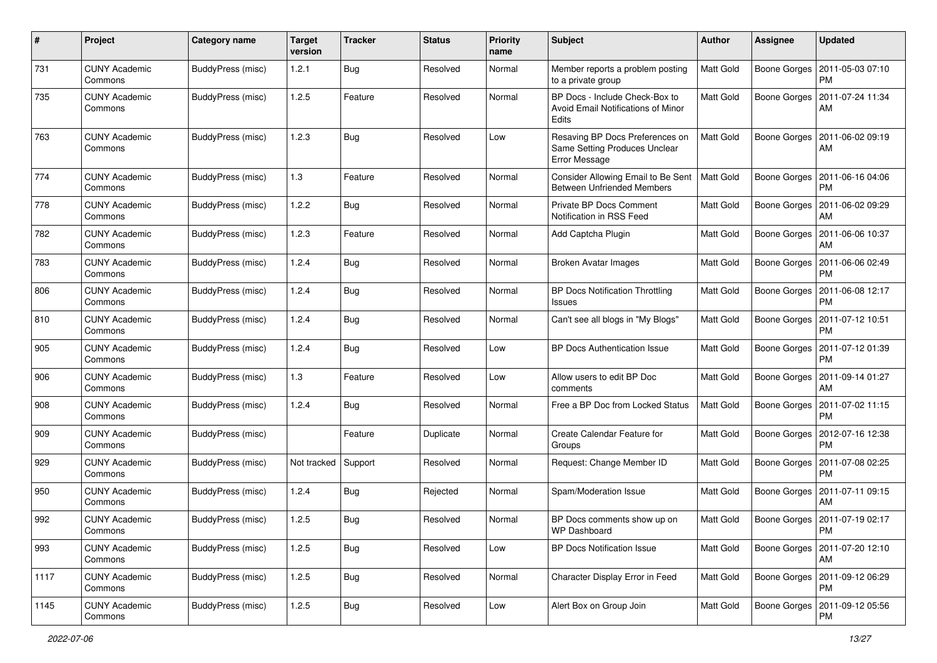| $\pmb{\#}$ | Project                         | <b>Category name</b> | <b>Target</b><br>version | <b>Tracker</b> | <b>Status</b> | <b>Priority</b><br>name | Subject                                                                           | Author           | <b>Assignee</b>     | <b>Updated</b>                               |
|------------|---------------------------------|----------------------|--------------------------|----------------|---------------|-------------------------|-----------------------------------------------------------------------------------|------------------|---------------------|----------------------------------------------|
| 731        | <b>CUNY Academic</b><br>Commons | BuddyPress (misc)    | 1.2.1                    | Bug            | Resolved      | Normal                  | Member reports a problem posting<br>to a private group                            | Matt Gold        | Boone Gorges        | 2011-05-03 07:10<br><b>PM</b>                |
| 735        | <b>CUNY Academic</b><br>Commons | BuddyPress (misc)    | 1.2.5                    | Feature        | Resolved      | Normal                  | BP Docs - Include Check-Box to<br>Avoid Email Notifications of Minor<br>Edits     | Matt Gold        |                     | Boone Gorges   2011-07-24 11:34<br>AM        |
| 763        | <b>CUNY Academic</b><br>Commons | BuddyPress (misc)    | 1.2.3                    | Bug            | Resolved      | Low                     | Resaving BP Docs Preferences on<br>Same Setting Produces Unclear<br>Error Message | Matt Gold        | Boone Gorges        | 2011-06-02 09:19<br>AM                       |
| 774        | <b>CUNY Academic</b><br>Commons | BuddyPress (misc)    | 1.3                      | Feature        | Resolved      | Normal                  | Consider Allowing Email to Be Sent<br><b>Between Unfriended Members</b>           | <b>Matt Gold</b> | Boone Gorges        | 2011-06-16 04:06<br><b>PM</b>                |
| 778        | <b>CUNY Academic</b><br>Commons | BuddyPress (misc)    | 1.2.2                    | Bug            | Resolved      | Normal                  | Private BP Docs Comment<br>Notification in RSS Feed                               | Matt Gold        | Boone Gorges        | 2011-06-02 09:29<br>AM                       |
| 782        | <b>CUNY Academic</b><br>Commons | BuddyPress (misc)    | 1.2.3                    | Feature        | Resolved      | Normal                  | Add Captcha Plugin                                                                | Matt Gold        | Boone Gorges        | 2011-06-06 10:37<br>AM                       |
| 783        | <b>CUNY Academic</b><br>Commons | BuddyPress (misc)    | 1.2.4                    | Bug            | Resolved      | Normal                  | <b>Broken Avatar Images</b>                                                       | Matt Gold        | Boone Gorges        | 2011-06-06 02:49<br><b>PM</b>                |
| 806        | <b>CUNY Academic</b><br>Commons | BuddyPress (misc)    | 1.2.4                    | Bug            | Resolved      | Normal                  | <b>BP Docs Notification Throttling</b><br>Issues                                  | Matt Gold        | Boone Gorges        | 2011-06-08 12:17<br><b>PM</b>                |
| 810        | <b>CUNY Academic</b><br>Commons | BuddyPress (misc)    | 1.2.4                    | Bug            | Resolved      | Normal                  | Can't see all blogs in "My Blogs"                                                 | Matt Gold        | Boone Gorges        | 2011-07-12 10:51<br>PM                       |
| 905        | <b>CUNY Academic</b><br>Commons | BuddyPress (misc)    | 1.2.4                    | Bug            | Resolved      | Low                     | <b>BP Docs Authentication Issue</b>                                               | Matt Gold        | Boone Gorges        | 2011-07-12 01:39<br><b>PM</b>                |
| 906        | <b>CUNY Academic</b><br>Commons | BuddyPress (misc)    | $1.3$                    | Feature        | Resolved      | Low                     | Allow users to edit BP Doc<br>comments                                            | Matt Gold        | Boone Gorges        | 2011-09-14 01:27<br>AM                       |
| 908        | CUNY Academic<br>Commons        | BuddyPress (misc)    | 1.2.4                    | Bug            | Resolved      | Normal                  | Free a BP Doc from Locked Status                                                  | Matt Gold        | Boone Gorges        | 2011-07-02 11:15<br><b>PM</b>                |
| 909        | <b>CUNY Academic</b><br>Commons | BuddyPress (misc)    |                          | Feature        | Duplicate     | Normal                  | Create Calendar Feature for<br>Groups                                             | Matt Gold        | Boone Gorges        | 2012-07-16 12:38<br><b>PM</b>                |
| 929        | <b>CUNY Academic</b><br>Commons | BuddyPress (misc)    | Not tracked              | Support        | Resolved      | Normal                  | Request: Change Member ID                                                         | Matt Gold        | Boone Gorges        | 2011-07-08 02:25<br><b>PM</b>                |
| 950        | <b>CUNY Academic</b><br>Commons | BuddyPress (misc)    | 1.2.4                    | Bug            | Rejected      | Normal                  | Spam/Moderation Issue                                                             | Matt Gold        |                     | Boone Gorges   2011-07-11 09:15<br>AM        |
| 992        | <b>CUNY Academic</b><br>Commons | BuddyPress (misc)    | 1.2.5                    | Bug            | Resolved      | Normal                  | BP Docs comments show up on<br><b>WP Dashboard</b>                                | Matt Gold        |                     | Boone Gorges   2011-07-19 02:17<br>PM        |
| 993        | <b>CUNY Academic</b><br>Commons | BuddyPress (misc)    | 1.2.5                    | <b>Bug</b>     | Resolved      | Low                     | <b>BP Docs Notification Issue</b>                                                 | Matt Gold        | Boone Gorges        | 2011-07-20 12:10<br>AM                       |
| 1117       | <b>CUNY Academic</b><br>Commons | BuddyPress (misc)    | 1.2.5                    | Bug            | Resolved      | Normal                  | Character Display Error in Feed                                                   | Matt Gold        |                     | Boone Gorges   2011-09-12 06:29<br><b>PM</b> |
| 1145       | <b>CUNY Academic</b><br>Commons | BuddyPress (misc)    | 1.2.5                    | <b>Bug</b>     | Resolved      | Low                     | Alert Box on Group Join                                                           | Matt Gold        | <b>Boone Gorges</b> | 2011-09-12 05:56<br>PM                       |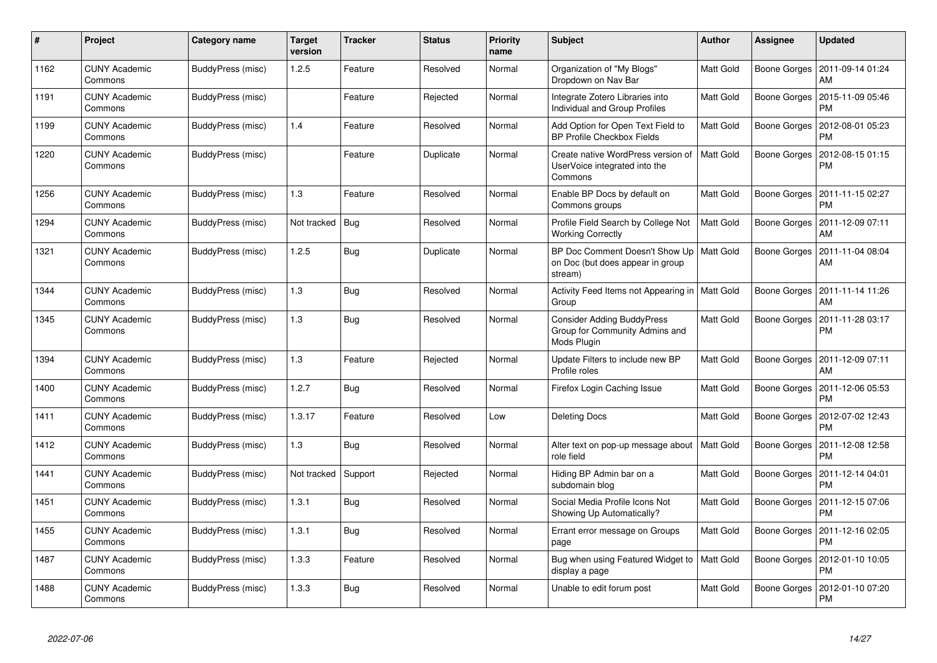| $\#$ | Project                         | Category name     | <b>Target</b><br>version | <b>Tracker</b> | <b>Status</b> | <b>Priority</b><br>name | <b>Subject</b>                                                                            | <b>Author</b> | <b>Assignee</b>     | <b>Updated</b>                |
|------|---------------------------------|-------------------|--------------------------|----------------|---------------|-------------------------|-------------------------------------------------------------------------------------------|---------------|---------------------|-------------------------------|
| 1162 | <b>CUNY Academic</b><br>Commons | BuddyPress (misc) | 1.2.5                    | Feature        | Resolved      | Normal                  | Organization of "My Blogs"<br>Dropdown on Nav Bar                                         | Matt Gold     | <b>Boone Gorges</b> | 2011-09-14 01:24<br>AM        |
| 1191 | <b>CUNY Academic</b><br>Commons | BuddyPress (misc) |                          | Feature        | Rejected      | Normal                  | Integrate Zotero Libraries into<br><b>Individual and Group Profiles</b>                   | Matt Gold     | Boone Gorges        | 2015-11-09 05:46<br><b>PM</b> |
| 1199 | CUNY Academic<br>Commons        | BuddyPress (misc) | 1.4                      | Feature        | Resolved      | Normal                  | Add Option for Open Text Field to<br><b>BP Profile Checkbox Fields</b>                    | Matt Gold     | Boone Gorges        | 2012-08-01 05:23<br><b>PM</b> |
| 1220 | <b>CUNY Academic</b><br>Commons | BuddyPress (misc) |                          | Feature        | Duplicate     | Normal                  | Create native WordPress version of<br>UserVoice integrated into the<br>Commons            | Matt Gold     | Boone Gorges        | 2012-08-15 01:15<br><b>PM</b> |
| 1256 | CUNY Academic<br>Commons        | BuddyPress (misc) | 1.3                      | Feature        | Resolved      | Normal                  | Enable BP Docs by default on<br>Commons groups                                            | Matt Gold     | Boone Gorges        | 2011-11-15 02:27<br><b>PM</b> |
| 1294 | <b>CUNY Academic</b><br>Commons | BuddyPress (misc) | Not tracked              | <b>Bug</b>     | Resolved      | Normal                  | Profile Field Search by College Not<br><b>Working Correctly</b>                           | Matt Gold     | Boone Gorges        | 2011-12-09 07:11<br>AM        |
| 1321 | CUNY Academic<br>Commons        | BuddyPress (misc) | 1.2.5                    | Bug            | Duplicate     | Normal                  | BP Doc Comment Doesn't Show Up   Matt Gold<br>on Doc (but does appear in group<br>stream) |               | Boone Gorges        | 2011-11-04 08:04<br>AM        |
| 1344 | <b>CUNY Academic</b><br>Commons | BuddyPress (misc) | 1.3                      | Bug            | Resolved      | Normal                  | Activity Feed Items not Appearing in   Matt Gold<br>Group                                 |               | Boone Gorges        | 2011-11-14 11:26<br>AM        |
| 1345 | <b>CUNY Academic</b><br>Commons | BuddyPress (misc) | 1.3                      | <b>Bug</b>     | Resolved      | Normal                  | <b>Consider Adding BuddyPress</b><br>Group for Community Admins and<br>Mods Plugin        | Matt Gold     | Boone Gorges        | 2011-11-28 03:17<br><b>PM</b> |
| 1394 | <b>CUNY Academic</b><br>Commons | BuddyPress (misc) | 1.3                      | Feature        | Rejected      | Normal                  | Update Filters to include new BP<br>Profile roles                                         | Matt Gold     | Boone Gorges        | 2011-12-09 07:11<br>AM        |
| 1400 | <b>CUNY Academic</b><br>Commons | BuddyPress (misc) | 1.2.7                    | <b>Bug</b>     | Resolved      | Normal                  | Firefox Login Caching Issue                                                               | Matt Gold     | Boone Gorges        | 2011-12-06 05:53<br><b>PM</b> |
| 1411 | <b>CUNY Academic</b><br>Commons | BuddyPress (misc) | 1.3.17                   | Feature        | Resolved      | Low                     | <b>Deleting Docs</b>                                                                      | Matt Gold     | Boone Gorges        | 2012-07-02 12:43<br><b>PM</b> |
| 1412 | <b>CUNY Academic</b><br>Commons | BuddyPress (misc) | 1.3                      | Bug            | Resolved      | Normal                  | Alter text on pop-up message about<br>role field                                          | Matt Gold     | Boone Gorges        | 2011-12-08 12:58<br><b>PM</b> |
| 1441 | <b>CUNY Academic</b><br>Commons | BuddyPress (misc) | Not tracked              | Support        | Rejected      | Normal                  | Hiding BP Admin bar on a<br>subdomain blog                                                | Matt Gold     | Boone Gorges        | 2011-12-14 04:01<br><b>PM</b> |
| 1451 | <b>CUNY Academic</b><br>Commons | BuddyPress (misc) | 1.3.1                    | <b>Bug</b>     | Resolved      | Normal                  | Social Media Profile Icons Not<br>Showing Up Automatically?                               | Matt Gold     | Boone Gorges        | 2011-12-15 07:06<br><b>PM</b> |
| 1455 | <b>CUNY Academic</b><br>Commons | BuddyPress (misc) | 1.3.1                    | <b>Bug</b>     | Resolved      | Normal                  | Errant error message on Groups<br>page                                                    | Matt Gold     | Boone Gorges        | 2011-12-16 02:05<br><b>PM</b> |
| 1487 | <b>CUNY Academic</b><br>Commons | BuddyPress (misc) | 1.3.3                    | Feature        | Resolved      | Normal                  | Bug when using Featured Widget to<br>display a page                                       | Matt Gold     | Boone Gorges        | 2012-01-10 10:05<br><b>PM</b> |
| 1488 | CUNY Academic<br>Commons        | BuddyPress (misc) | 1.3.3                    | Bug            | Resolved      | Normal                  | Unable to edit forum post                                                                 | Matt Gold     | Boone Gorges        | 2012-01-10 07:20<br><b>PM</b> |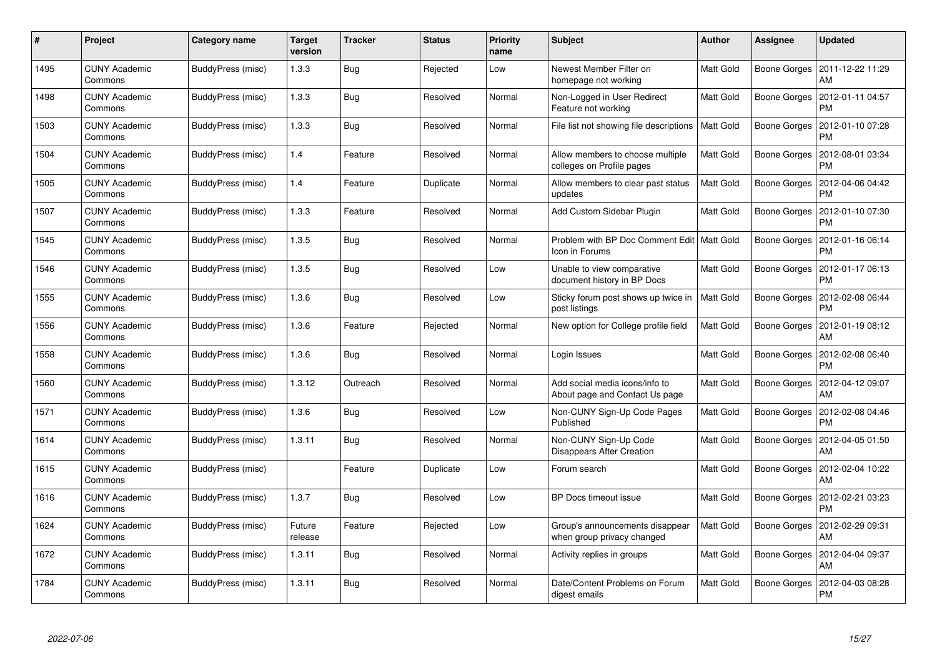| $\pmb{\#}$ | Project                         | Category name     | <b>Target</b><br>version | <b>Tracker</b> | <b>Status</b> | <b>Priority</b><br>name | <b>Subject</b>                                                   | <b>Author</b>    | Assignee     | <b>Updated</b>                |
|------------|---------------------------------|-------------------|--------------------------|----------------|---------------|-------------------------|------------------------------------------------------------------|------------------|--------------|-------------------------------|
| 1495       | <b>CUNY Academic</b><br>Commons | BuddyPress (misc) | 1.3.3                    | Bug            | Rejected      | Low                     | Newest Member Filter on<br>homepage not working                  | <b>Matt Gold</b> | Boone Gorges | 2011-12-22 11:29<br>AM        |
| 1498       | <b>CUNY Academic</b><br>Commons | BuddyPress (misc) | 1.3.3                    | Bug            | Resolved      | Normal                  | Non-Logged in User Redirect<br>Feature not working               | <b>Matt Gold</b> | Boone Gorges | 2012-01-11 04:57<br><b>PM</b> |
| 1503       | <b>CUNY Academic</b><br>Commons | BuddyPress (misc) | 1.3.3                    | Bug            | Resolved      | Normal                  | File list not showing file descriptions                          | <b>Matt Gold</b> | Boone Gorges | 2012-01-10 07:28<br>PM        |
| 1504       | <b>CUNY Academic</b><br>Commons | BuddyPress (misc) | 1.4                      | Feature        | Resolved      | Normal                  | Allow members to choose multiple<br>colleges on Profile pages    | Matt Gold        | Boone Gorges | 2012-08-01 03:34<br>PM        |
| 1505       | <b>CUNY Academic</b><br>Commons | BuddyPress (misc) | 1.4                      | Feature        | Duplicate     | Normal                  | Allow members to clear past status<br>updates                    | <b>Matt Gold</b> | Boone Gorges | 2012-04-06 04:42<br>PM        |
| 1507       | <b>CUNY Academic</b><br>Commons | BuddyPress (misc) | 1.3.3                    | Feature        | Resolved      | Normal                  | Add Custom Sidebar Plugin                                        | <b>Matt Gold</b> | Boone Gorges | 2012-01-10 07:30<br>PM        |
| 1545       | <b>CUNY Academic</b><br>Commons | BuddyPress (misc) | 1.3.5                    | Bug            | Resolved      | Normal                  | Problem with BP Doc Comment Edit   Matt Gold<br>Icon in Forums   |                  | Boone Gorges | 2012-01-16 06:14<br>PM        |
| 1546       | <b>CUNY Academic</b><br>Commons | BuddyPress (misc) | 1.3.5                    | Bug            | Resolved      | Low                     | Unable to view comparative<br>document history in BP Docs        | Matt Gold        | Boone Gorges | 2012-01-17 06:13<br>PM        |
| 1555       | <b>CUNY Academic</b><br>Commons | BuddyPress (misc) | 1.3.6                    | Bug            | Resolved      | Low                     | Sticky forum post shows up twice in<br>post listings             | <b>Matt Gold</b> | Boone Gorges | 2012-02-08 06:44<br><b>PM</b> |
| 1556       | <b>CUNY Academic</b><br>Commons | BuddyPress (misc) | 1.3.6                    | Feature        | Rejected      | Normal                  | New option for College profile field                             | <b>Matt Gold</b> | Boone Gorges | 2012-01-19 08:12<br>AM        |
| 1558       | <b>CUNY Academic</b><br>Commons | BuddyPress (misc) | 1.3.6                    | Bug            | Resolved      | Normal                  | Login Issues                                                     | Matt Gold        | Boone Gorges | 2012-02-08 06:40<br>PM        |
| 1560       | <b>CUNY Academic</b><br>Commons | BuddyPress (misc) | 1.3.12                   | Outreach       | Resolved      | Normal                  | Add social media icons/info to<br>About page and Contact Us page | Matt Gold        | Boone Gorges | 2012-04-12 09:07<br>AM        |
| 1571       | <b>CUNY Academic</b><br>Commons | BuddyPress (misc) | 1.3.6                    | Bug            | Resolved      | Low                     | Non-CUNY Sign-Up Code Pages<br>Published                         | Matt Gold        | Boone Gorges | 2012-02-08 04:46<br><b>PM</b> |
| 1614       | <b>CUNY Academic</b><br>Commons | BuddyPress (misc) | 1.3.11                   | Bug            | Resolved      | Normal                  | Non-CUNY Sign-Up Code<br>Disappears After Creation               | Matt Gold        | Boone Gorges | 2012-04-05 01:50<br>AM        |
| 1615       | <b>CUNY Academic</b><br>Commons | BuddyPress (misc) |                          | Feature        | Duplicate     | Low                     | Forum search                                                     | Matt Gold        | Boone Gorges | 2012-02-04 10:22<br>AM        |
| 1616       | <b>CUNY Academic</b><br>Commons | BuddyPress (misc) | 1.3.7                    | Bug            | Resolved      | Low                     | BP Docs timeout issue                                            | Matt Gold        | Boone Gorges | 2012-02-21 03:23<br>PM        |
| 1624       | <b>CUNY Academic</b><br>Commons | BuddyPress (misc) | Future<br>release        | Feature        | Rejected      | Low                     | Group's announcements disappear<br>when group privacy changed    | Matt Gold        | Boone Gorges | 2012-02-29 09:31<br>AM        |
| 1672       | <b>CUNY Academic</b><br>Commons | BuddyPress (misc) | 1.3.11                   | Bug            | Resolved      | Normal                  | Activity replies in groups                                       | Matt Gold        | Boone Gorges | 2012-04-04 09:37<br>AM        |
| 1784       | CUNY Academic<br>Commons        | BuddyPress (misc) | 1.3.11                   | <b>Bug</b>     | Resolved      | Normal                  | Date/Content Problems on Forum<br>digest emails                  | <b>Matt Gold</b> | Boone Gorges | 2012-04-03 08:28<br><b>PM</b> |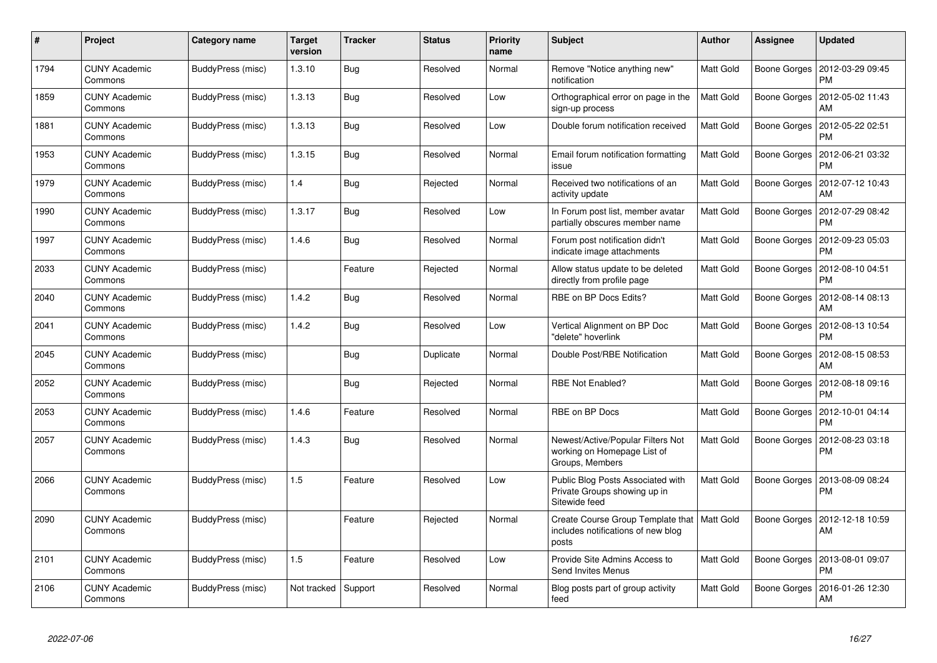| $\#$ | Project                         | <b>Category name</b> | <b>Target</b><br>version | <b>Tracker</b> | <b>Status</b> | <b>Priority</b><br>name | <b>Subject</b>                                                                               | <b>Author</b>    | <b>Assignee</b> | <b>Updated</b>                |
|------|---------------------------------|----------------------|--------------------------|----------------|---------------|-------------------------|----------------------------------------------------------------------------------------------|------------------|-----------------|-------------------------------|
| 1794 | <b>CUNY Academic</b><br>Commons | BuddyPress (misc)    | 1.3.10                   | Bug            | Resolved      | Normal                  | Remove "Notice anything new"<br>notification                                                 | <b>Matt Gold</b> | Boone Gorges    | 2012-03-29 09:45<br><b>PM</b> |
| 1859 | <b>CUNY Academic</b><br>Commons | BuddyPress (misc)    | 1.3.13                   | Bug            | Resolved      | Low                     | Orthographical error on page in the<br>sign-up process                                       | <b>Matt Gold</b> | Boone Gorges    | 2012-05-02 11:43<br>AM        |
| 1881 | <b>CUNY Academic</b><br>Commons | BuddyPress (misc)    | 1.3.13                   | Bug            | Resolved      | Low                     | Double forum notification received                                                           | <b>Matt Gold</b> | Boone Gorges    | 2012-05-22 02:51<br><b>PM</b> |
| 1953 | <b>CUNY Academic</b><br>Commons | BuddyPress (misc)    | 1.3.15                   | <b>Bug</b>     | Resolved      | Normal                  | Email forum notification formatting<br>issue                                                 | Matt Gold        | Boone Gorges    | 2012-06-21 03:32<br>PM        |
| 1979 | <b>CUNY Academic</b><br>Commons | BuddyPress (misc)    | 1.4                      | <b>Bug</b>     | Rejected      | Normal                  | Received two notifications of an<br>activity update                                          | Matt Gold        | Boone Gorges    | 2012-07-12 10:43<br>AM        |
| 1990 | <b>CUNY Academic</b><br>Commons | BuddyPress (misc)    | 1.3.17                   | Bug            | Resolved      | Low                     | In Forum post list, member avatar<br>partially obscures member name                          | Matt Gold        | Boone Gorges    | 2012-07-29 08:42<br><b>PM</b> |
| 1997 | <b>CUNY Academic</b><br>Commons | BuddyPress (misc)    | 1.4.6                    | <b>Bug</b>     | Resolved      | Normal                  | Forum post notification didn't<br>indicate image attachments                                 | Matt Gold        | Boone Gorges    | 2012-09-23 05:03<br><b>PM</b> |
| 2033 | <b>CUNY Academic</b><br>Commons | BuddyPress (misc)    |                          | Feature        | Rejected      | Normal                  | Allow status update to be deleted<br>directly from profile page                              | <b>Matt Gold</b> | Boone Gorges    | 2012-08-10 04:51<br><b>PM</b> |
| 2040 | <b>CUNY Academic</b><br>Commons | BuddyPress (misc)    | 1.4.2                    | Bug            | Resolved      | Normal                  | RBE on BP Docs Edits?                                                                        | Matt Gold        | Boone Gorges    | 2012-08-14 08:13<br>AM        |
| 2041 | <b>CUNY Academic</b><br>Commons | BuddyPress (misc)    | 1.4.2                    | Bug            | Resolved      | Low                     | Vertical Alignment on BP Doc<br>'delete" hoverlink                                           | <b>Matt Gold</b> | Boone Gorges    | 2012-08-13 10:54<br><b>PM</b> |
| 2045 | <b>CUNY Academic</b><br>Commons | BuddyPress (misc)    |                          | Bug            | Duplicate     | Normal                  | Double Post/RBE Notification                                                                 | Matt Gold        | Boone Gorges    | 2012-08-15 08:53<br>AM        |
| 2052 | <b>CUNY Academic</b><br>Commons | BuddyPress (misc)    |                          | Bug            | Rejected      | Normal                  | <b>RBE Not Enabled?</b>                                                                      | Matt Gold        | Boone Gorges    | 2012-08-18 09:16<br><b>PM</b> |
| 2053 | <b>CUNY Academic</b><br>Commons | BuddyPress (misc)    | 1.4.6                    | Feature        | Resolved      | Normal                  | RBE on BP Docs                                                                               | <b>Matt Gold</b> | Boone Gorges    | 2012-10-01 04:14<br><b>PM</b> |
| 2057 | <b>CUNY Academic</b><br>Commons | BuddyPress (misc)    | 1.4.3                    | <b>Bug</b>     | Resolved      | Normal                  | Newest/Active/Popular Filters Not<br>working on Homepage List of<br>Groups, Members          | Matt Gold        | Boone Gorges    | 2012-08-23 03:18<br>PM        |
| 2066 | <b>CUNY Academic</b><br>Commons | BuddyPress (misc)    | 1.5                      | Feature        | Resolved      | Low                     | Public Blog Posts Associated with<br>Private Groups showing up in<br>Sitewide feed           | <b>Matt Gold</b> | Boone Gorges    | 2013-08-09 08:24<br><b>PM</b> |
| 2090 | <b>CUNY Academic</b><br>Commons | BuddyPress (misc)    |                          | Feature        | Rejected      | Normal                  | Create Course Group Template that   Matt Gold<br>includes notifications of new blog<br>posts |                  | Boone Gorges    | 2012-12-18 10:59<br>AM        |
| 2101 | <b>CUNY Academic</b><br>Commons | BuddyPress (misc)    | 1.5                      | Feature        | Resolved      | Low                     | Provide Site Admins Access to<br>Send Invites Menus                                          | Matt Gold        | Boone Gorges    | 2013-08-01 09:07<br><b>PM</b> |
| 2106 | <b>CUNY Academic</b><br>Commons | BuddyPress (misc)    | Not tracked              | Support        | Resolved      | Normal                  | Blog posts part of group activity<br>feed                                                    | <b>Matt Gold</b> | Boone Gorges    | 2016-01-26 12:30<br>AM        |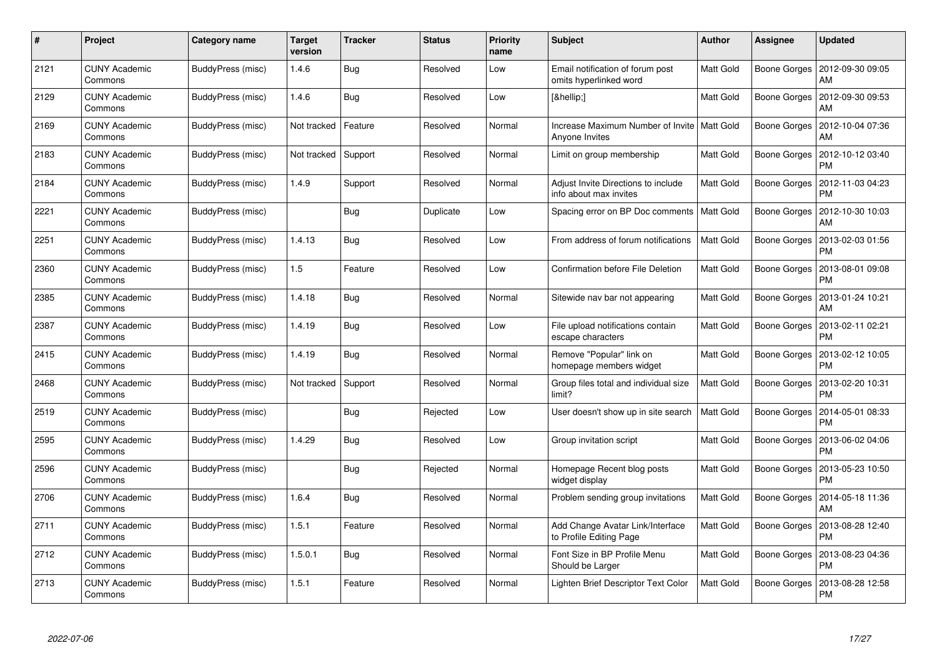| #    | Project                         | Category name     | <b>Target</b><br>version | <b>Tracker</b> | <b>Status</b> | <b>Priority</b><br>name | <b>Subject</b>                                                  | <b>Author</b>    | Assignee            | Updated                       |
|------|---------------------------------|-------------------|--------------------------|----------------|---------------|-------------------------|-----------------------------------------------------------------|------------------|---------------------|-------------------------------|
| 2121 | <b>CUNY Academic</b><br>Commons | BuddyPress (misc) | 1.4.6                    | Bug            | Resolved      | Low                     | Email notification of forum post<br>omits hyperlinked word      | Matt Gold        | <b>Boone Gorges</b> | 2012-09-30 09:05<br>AM        |
| 2129 | <b>CUNY Academic</b><br>Commons | BuddyPress (misc) | 1.4.6                    | Bug            | Resolved      | Low                     | […]                                                             | Matt Gold        | Boone Gorges        | 2012-09-30 09:53<br>AM        |
| 2169 | <b>CUNY Academic</b><br>Commons | BuddyPress (misc) | Not tracked              | Feature        | Resolved      | Normal                  | Increase Maximum Number of Invite   Matt Gold<br>Anyone Invites |                  | Boone Gorges        | 2012-10-04 07:36<br>AM        |
| 2183 | <b>CUNY Academic</b><br>Commons | BuddyPress (misc) | Not tracked              | Support        | Resolved      | Normal                  | Limit on group membership                                       | Matt Gold        | Boone Gorges        | 2012-10-12 03:40<br>PM        |
| 2184 | <b>CUNY Academic</b><br>Commons | BuddyPress (misc) | 1.4.9                    | Support        | Resolved      | Normal                  | Adjust Invite Directions to include<br>info about max invites   | <b>Matt Gold</b> | Boone Gorges        | 2012-11-03 04:23<br><b>PM</b> |
| 2221 | <b>CUNY Academic</b><br>Commons | BuddyPress (misc) |                          | <b>Bug</b>     | Duplicate     | Low                     | Spacing error on BP Doc comments                                | <b>Matt Gold</b> | Boone Gorges        | 2012-10-30 10:03<br>AM        |
| 2251 | <b>CUNY Academic</b><br>Commons | BuddyPress (misc) | 1.4.13                   | Bug            | Resolved      | Low                     | From address of forum notifications                             | Matt Gold        | Boone Gorges        | 2013-02-03 01:56<br>PM        |
| 2360 | <b>CUNY Academic</b><br>Commons | BuddyPress (misc) | 1.5                      | Feature        | Resolved      | Low                     | Confirmation before File Deletion                               | Matt Gold        | Boone Gorges        | 2013-08-01 09:08<br>PM        |
| 2385 | <b>CUNY Academic</b><br>Commons | BuddyPress (misc) | 1.4.18                   | Bug            | Resolved      | Normal                  | Sitewide nav bar not appearing                                  | Matt Gold        | Boone Gorges        | 2013-01-24 10:21<br>AM        |
| 2387 | <b>CUNY Academic</b><br>Commons | BuddyPress (misc) | 1.4.19                   | Bug            | Resolved      | Low                     | File upload notifications contain<br>escape characters          | Matt Gold        | Boone Gorges        | 2013-02-11 02:21<br>РM        |
| 2415 | <b>CUNY Academic</b><br>Commons | BuddyPress (misc) | 1.4.19                   | Bug            | Resolved      | Normal                  | Remove "Popular" link on<br>homepage members widget             | Matt Gold        | Boone Gorges        | 2013-02-12 10:05<br><b>PM</b> |
| 2468 | <b>CUNY Academic</b><br>Commons | BuddyPress (misc) | Not tracked              | Support        | Resolved      | Normal                  | Group files total and individual size<br>limit?                 | <b>Matt Gold</b> | Boone Gorges        | 2013-02-20 10:31<br>PM        |
| 2519 | <b>CUNY Academic</b><br>Commons | BuddyPress (misc) |                          | Bug            | Rejected      | Low                     | User doesn't show up in site search                             | <b>Matt Gold</b> | Boone Gorges        | 2014-05-01 08:33<br><b>PM</b> |
| 2595 | <b>CUNY Academic</b><br>Commons | BuddyPress (misc) | 1.4.29                   | Bug            | Resolved      | Low                     | Group invitation script                                         | Matt Gold        | Boone Gorges        | 2013-06-02 04:06<br>РM        |
| 2596 | <b>CUNY Academic</b><br>Commons | BuddyPress (misc) |                          | <b>Bug</b>     | Rejected      | Normal                  | Homepage Recent blog posts<br>widget display                    | Matt Gold        | Boone Gorges        | 2013-05-23 10:50<br>PM        |
| 2706 | <b>CUNY Academic</b><br>Commons | BuddyPress (misc) | 1.6.4                    | Bug            | Resolved      | Normal                  | Problem sending group invitations                               | Matt Gold        | <b>Boone Gorges</b> | 2014-05-18 11:36<br>AM        |
| 2711 | <b>CUNY Academic</b><br>Commons | BuddyPress (misc) | 1.5.1                    | Feature        | Resolved      | Normal                  | Add Change Avatar Link/Interface<br>to Profile Editing Page     | Matt Gold        | Boone Gorges        | 2013-08-28 12:40<br><b>PM</b> |
| 2712 | <b>CUNY Academic</b><br>Commons | BuddyPress (misc) | 1.5.0.1                  | Bug            | Resolved      | Normal                  | Font Size in BP Profile Menu<br>Should be Larger                | Matt Gold        | Boone Gorges        | 2013-08-23 04:36<br><b>PM</b> |
| 2713 | <b>CUNY Academic</b><br>Commons | BuddyPress (misc) | 1.5.1                    | Feature        | Resolved      | Normal                  | Lighten Brief Descriptor Text Color                             | Matt Gold        | Boone Gorges        | 2013-08-28 12:58<br><b>PM</b> |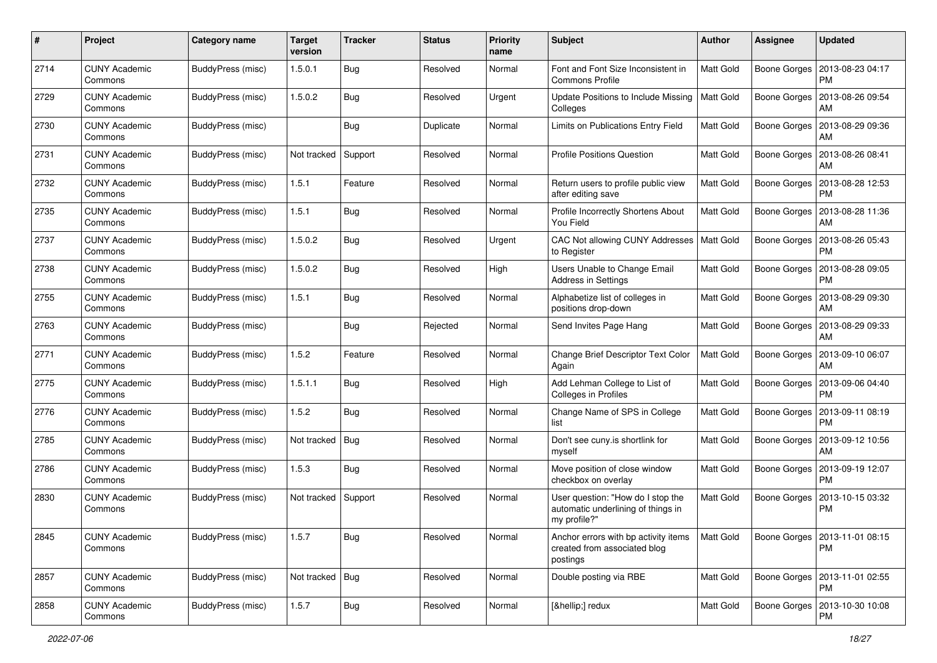| #    | Project                         | Category name            | <b>Target</b><br>version | <b>Tracker</b> | <b>Status</b> | <b>Priority</b><br>name | Subject                                                                                 | Author           | <b>Assignee</b>     | <b>Updated</b>                               |
|------|---------------------------------|--------------------------|--------------------------|----------------|---------------|-------------------------|-----------------------------------------------------------------------------------------|------------------|---------------------|----------------------------------------------|
| 2714 | <b>CUNY Academic</b><br>Commons | <b>BuddyPress (misc)</b> | 1.5.0.1                  | <b>Bug</b>     | Resolved      | Normal                  | Font and Font Size Inconsistent in<br><b>Commons Profile</b>                            | <b>Matt Gold</b> | <b>Boone Gorges</b> | 2013-08-23 04:17<br><b>PM</b>                |
| 2729 | <b>CUNY Academic</b><br>Commons | <b>BuddyPress (misc)</b> | 1.5.0.2                  | Bug            | Resolved      | Urgent                  | Update Positions to Include Missing<br>Colleges                                         | <b>Matt Gold</b> | Boone Gorges        | 2013-08-26 09:54<br>AM                       |
| 2730 | <b>CUNY Academic</b><br>Commons | BuddyPress (misc)        |                          | Bug            | Duplicate     | Normal                  | Limits on Publications Entry Field                                                      | Matt Gold        | <b>Boone Gorges</b> | 2013-08-29 09:36<br>AM                       |
| 2731 | <b>CUNY Academic</b><br>Commons | BuddyPress (misc)        | Not tracked              | Support        | Resolved      | Normal                  | <b>Profile Positions Question</b>                                                       | Matt Gold        | <b>Boone Gorges</b> | 2013-08-26 08:41<br>AM                       |
| 2732 | <b>CUNY Academic</b><br>Commons | BuddyPress (misc)        | 1.5.1                    | Feature        | Resolved      | Normal                  | Return users to profile public view<br>after editing save                               | Matt Gold        | Boone Gorges        | 2013-08-28 12:53<br><b>PM</b>                |
| 2735 | <b>CUNY Academic</b><br>Commons | BuddyPress (misc)        | 1.5.1                    | Bug            | Resolved      | Normal                  | Profile Incorrectly Shortens About<br>You Field                                         | <b>Matt Gold</b> | Boone Gorges        | 2013-08-28 11:36<br>AM                       |
| 2737 | <b>CUNY Academic</b><br>Commons | BuddyPress (misc)        | 1.5.0.2                  | Bug            | Resolved      | Urgent                  | CAC Not allowing CUNY Addresses<br>to Register                                          | <b>Matt Gold</b> | Boone Gorges        | 2013-08-26 05:43<br><b>PM</b>                |
| 2738 | <b>CUNY Academic</b><br>Commons | BuddyPress (misc)        | 1.5.0.2                  | <b>Bug</b>     | Resolved      | High                    | Users Unable to Change Email<br><b>Address in Settings</b>                              | Matt Gold        | Boone Gorges        | 2013-08-28 09:05<br>PM                       |
| 2755 | <b>CUNY Academic</b><br>Commons | BuddyPress (misc)        | 1.5.1                    | Bug            | Resolved      | Normal                  | Alphabetize list of colleges in<br>positions drop-down                                  | Matt Gold        | Boone Gorges        | 2013-08-29 09:30<br>AM                       |
| 2763 | <b>CUNY Academic</b><br>Commons | BuddyPress (misc)        |                          | Bug            | Rejected      | Normal                  | Send Invites Page Hang                                                                  | Matt Gold        | Boone Gorges        | 2013-08-29 09:33<br>AM                       |
| 2771 | <b>CUNY Academic</b><br>Commons | BuddyPress (misc)        | 1.5.2                    | Feature        | Resolved      | Normal                  | Change Brief Descriptor Text Color<br>Again                                             | <b>Matt Gold</b> | <b>Boone Gorges</b> | 2013-09-10 06:07<br>AM                       |
| 2775 | <b>CUNY Academic</b><br>Commons | BuddyPress (misc)        | 1.5.1.1                  | Bug            | Resolved      | High                    | Add Lehman College to List of<br>Colleges in Profiles                                   | Matt Gold        | Boone Gorges        | 2013-09-06 04:40<br><b>PM</b>                |
| 2776 | <b>CUNY Academic</b><br>Commons | BuddyPress (misc)        | 1.5.2                    | Bug            | Resolved      | Normal                  | Change Name of SPS in College<br>list                                                   | Matt Gold        | <b>Boone Gorges</b> | 2013-09-11 08:19<br><b>PM</b>                |
| 2785 | <b>CUNY Academic</b><br>Commons | BuddyPress (misc)        | Not tracked              | Bug            | Resolved      | Normal                  | Don't see cuny.is shortlink for<br>myself                                               | Matt Gold        | Boone Gorges        | 2013-09-12 10:56<br>AM                       |
| 2786 | <b>CUNY Academic</b><br>Commons | BuddyPress (misc)        | 1.5.3                    | Bug            | Resolved      | Normal                  | Move position of close window<br>checkbox on overlay                                    | Matt Gold        | <b>Boone Gorges</b> | 2013-09-19 12:07<br><b>PM</b>                |
| 2830 | <b>CUNY Academic</b><br>Commons | BuddyPress (misc)        | Not tracked Support      |                | Resolved      | Normal                  | User question: "How do I stop the<br>automatic underlining of things in<br>my profile?" | <b>Matt Gold</b> | Boone Gorges        | 2013-10-15 03:32<br><b>PM</b>                |
| 2845 | <b>CUNY Academic</b><br>Commons | BuddyPress (misc)        | 1.5.7                    | Bug            | Resolved      | Normal                  | Anchor errors with bp activity items<br>created from associated blog<br>postings        | Matt Gold        |                     | Boone Gorges   2013-11-01 08:15<br><b>PM</b> |
| 2857 | <b>CUNY Academic</b><br>Commons | BuddyPress (misc)        | Not tracked   Bug        |                | Resolved      | Normal                  | Double posting via RBE                                                                  | Matt Gold        |                     | Boone Gorges   2013-11-01 02:55<br><b>PM</b> |
| 2858 | <b>CUNY Academic</b><br>Commons | BuddyPress (misc)        | 1.5.7                    | Bug            | Resolved      | Normal                  | […] redux                                                                               | Matt Gold        |                     | Boone Gorges   2013-10-30 10:08<br><b>PM</b> |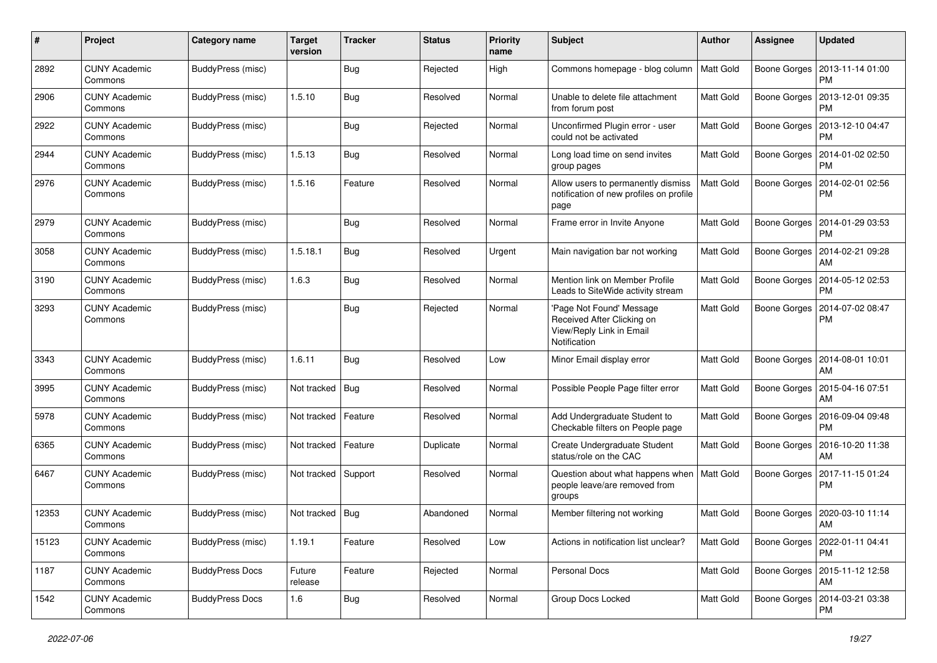| #     | Project                         | <b>Category name</b>     | <b>Target</b><br>version | <b>Tracker</b> | <b>Status</b> | <b>Priority</b><br>name | Subject                                                                                            | Author           | <b>Assignee</b>     | <b>Updated</b>                               |
|-------|---------------------------------|--------------------------|--------------------------|----------------|---------------|-------------------------|----------------------------------------------------------------------------------------------------|------------------|---------------------|----------------------------------------------|
| 2892  | <b>CUNY Academic</b><br>Commons | <b>BuddyPress (misc)</b> |                          | Bug            | Rejected      | High                    | Commons homepage - blog column                                                                     | Matt Gold        | Boone Gorges        | 2013-11-14 01:00<br>PM                       |
| 2906  | <b>CUNY Academic</b><br>Commons | <b>BuddyPress (misc)</b> | 1.5.10                   | Bug            | Resolved      | Normal                  | Unable to delete file attachment<br>from forum post                                                | <b>Matt Gold</b> | Boone Gorges        | 2013-12-01 09:35<br><b>PM</b>                |
| 2922  | CUNY Academic<br>Commons        | BuddyPress (misc)        |                          | <b>Bug</b>     | Rejected      | Normal                  | Unconfirmed Plugin error - user<br>could not be activated                                          | <b>Matt Gold</b> | Boone Gorges        | 2013-12-10 04:47<br><b>PM</b>                |
| 2944  | <b>CUNY Academic</b><br>Commons | BuddyPress (misc)        | 1.5.13                   | Bug            | Resolved      | Normal                  | Long load time on send invites<br>group pages                                                      | Matt Gold        | Boone Gorges        | 2014-01-02 02:50<br>PM                       |
| 2976  | <b>CUNY Academic</b><br>Commons | BuddyPress (misc)        | 1.5.16                   | Feature        | Resolved      | Normal                  | Allow users to permanently dismiss<br>notification of new profiles on profile<br>page              | <b>Matt Gold</b> | Boone Gorges        | 2014-02-01 02:56<br><b>PM</b>                |
| 2979  | <b>CUNY Academic</b><br>Commons | BuddyPress (misc)        |                          | Bug            | Resolved      | Normal                  | Frame error in Invite Anyone                                                                       | Matt Gold        | Boone Gorges        | 2014-01-29 03:53<br><b>PM</b>                |
| 3058  | <b>CUNY Academic</b><br>Commons | BuddyPress (misc)        | 1.5.18.1                 | Bug            | Resolved      | Urgent                  | Main navigation bar not working                                                                    | Matt Gold        |                     | Boone Gorges   2014-02-21 09:28<br>AM        |
| 3190  | <b>CUNY Academic</b><br>Commons | BuddyPress (misc)        | 1.6.3                    | Bug            | Resolved      | Normal                  | Mention link on Member Profile<br>Leads to SiteWide activity stream                                | <b>Matt Gold</b> | Boone Gorges        | 2014-05-12 02:53<br><b>PM</b>                |
| 3293  | <b>CUNY Academic</b><br>Commons | BuddyPress (misc)        |                          | Bug            | Rejected      | Normal                  | 'Page Not Found' Message<br>Received After Clicking on<br>View/Reply Link in Email<br>Notification | Matt Gold        | <b>Boone Gorges</b> | 2014-07-02 08:47<br>PM                       |
| 3343  | <b>CUNY Academic</b><br>Commons | BuddyPress (misc)        | 1.6.11                   | Bug            | Resolved      | Low                     | Minor Email display error                                                                          | Matt Gold        | Boone Gorges        | 2014-08-01 10:01<br>AM                       |
| 3995  | <b>CUNY Academic</b><br>Commons | BuddyPress (misc)        | Not tracked              | Bug            | Resolved      | Normal                  | Possible People Page filter error                                                                  | <b>Matt Gold</b> | Boone Gorges        | 2015-04-16 07:51<br>AM                       |
| 5978  | <b>CUNY Academic</b><br>Commons | BuddyPress (misc)        | Not tracked              | Feature        | Resolved      | Normal                  | Add Undergraduate Student to<br>Checkable filters on People page                                   | Matt Gold        | Boone Gorges        | 2016-09-04 09:48<br><b>PM</b>                |
| 6365  | <b>CUNY Academic</b><br>Commons | BuddyPress (misc)        | Not tracked              | Feature        | Duplicate     | Normal                  | Create Undergraduate Student<br>status/role on the CAC                                             | <b>Matt Gold</b> | Boone Gorges        | 2016-10-20 11:38<br>AM                       |
| 6467  | <b>CUNY Academic</b><br>Commons | BuddyPress (misc)        | Not tracked              | Support        | Resolved      | Normal                  | Question about what happens when<br>people leave/are removed from<br>groups                        | Matt Gold        | <b>Boone Gorges</b> | 2017-11-15 01:24<br><b>PM</b>                |
| 12353 | <b>CUNY Academic</b><br>Commons | BuddyPress (misc)        | Not tracked              | <b>Bug</b>     | Abandoned     | Normal                  | Member filtering not working                                                                       | <b>Matt Gold</b> | Boone Gorges        | 2020-03-10 11:14<br>AM                       |
| 15123 | <b>CUNY Academic</b><br>Commons | <b>BuddyPress (misc)</b> | 1.19.1                   | Feature        | Resolved      | Low                     | Actions in notification list unclear?                                                              | Matt Gold        |                     | Boone Gorges   2022-01-11 04:41<br>PM        |
| 1187  | <b>CUNY Academic</b><br>Commons | <b>BuddyPress Docs</b>   | Future<br>release        | Feature        | Rejected      | Normal                  | <b>Personal Docs</b>                                                                               | <b>Matt Gold</b> |                     | Boone Gorges   2015-11-12 12:58<br>AM        |
| 1542  | <b>CUNY Academic</b><br>Commons | <b>BuddyPress Docs</b>   | 1.6                      | Bug            | Resolved      | Normal                  | Group Docs Locked                                                                                  | <b>Matt Gold</b> |                     | Boone Gorges   2014-03-21 03:38<br><b>PM</b> |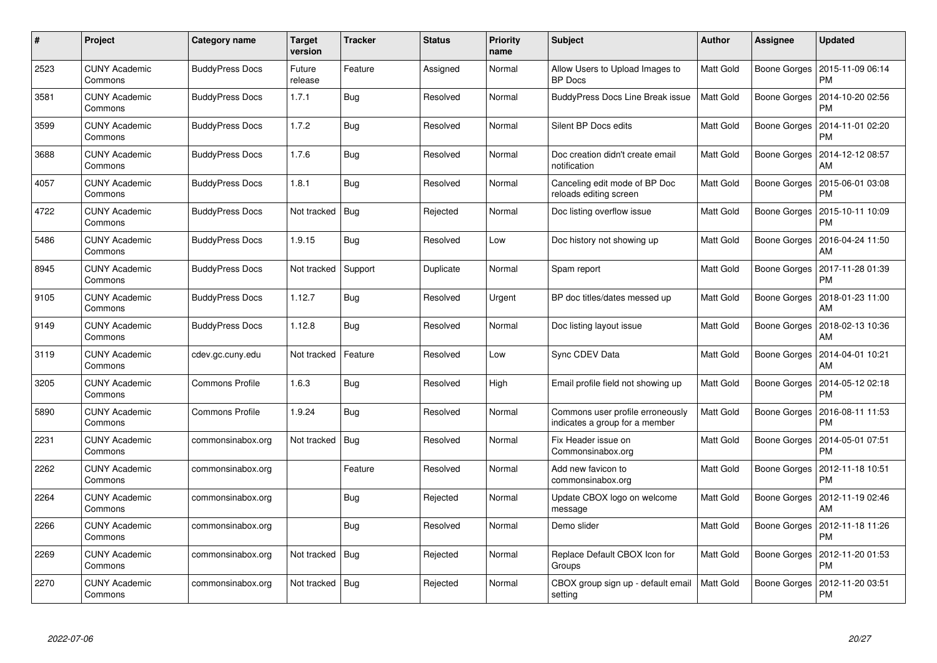| $\pmb{\#}$ | <b>Project</b>                  | <b>Category name</b>   | <b>Target</b><br>version | <b>Tracker</b> | <b>Status</b> | <b>Priority</b><br>name | <b>Subject</b>                                                     | <b>Author</b>    | <b>Assignee</b> | <b>Updated</b>                |
|------------|---------------------------------|------------------------|--------------------------|----------------|---------------|-------------------------|--------------------------------------------------------------------|------------------|-----------------|-------------------------------|
| 2523       | <b>CUNY Academic</b><br>Commons | <b>BuddyPress Docs</b> | Future<br>release        | Feature        | Assigned      | Normal                  | Allow Users to Upload Images to<br><b>BP</b> Docs                  | Matt Gold        | Boone Gorges    | 2015-11-09 06:14<br><b>PM</b> |
| 3581       | <b>CUNY Academic</b><br>Commons | <b>BuddyPress Docs</b> | 1.7.1                    | <b>Bug</b>     | Resolved      | Normal                  | <b>BuddyPress Docs Line Break issue</b>                            | <b>Matt Gold</b> | Boone Gorges    | 2014-10-20 02:56<br><b>PM</b> |
| 3599       | <b>CUNY Academic</b><br>Commons | <b>BuddyPress Docs</b> | 1.7.2                    | Bug            | Resolved      | Normal                  | Silent BP Docs edits                                               | Matt Gold        | Boone Gorges    | 2014-11-01 02:20<br>PM        |
| 3688       | <b>CUNY Academic</b><br>Commons | <b>BuddyPress Docs</b> | 1.7.6                    | Bug            | Resolved      | Normal                  | Doc creation didn't create email<br>notification                   | Matt Gold        | Boone Gorges    | 2014-12-12 08:57<br>AM        |
| 4057       | <b>CUNY Academic</b><br>Commons | <b>BuddyPress Docs</b> | 1.8.1                    | Bug            | Resolved      | Normal                  | Canceling edit mode of BP Doc<br>reloads editing screen            | <b>Matt Gold</b> | Boone Gorges    | 2015-06-01 03:08<br><b>PM</b> |
| 4722       | <b>CUNY Academic</b><br>Commons | <b>BuddyPress Docs</b> | Not tracked              | Bug            | Rejected      | Normal                  | Doc listing overflow issue                                         | <b>Matt Gold</b> | Boone Gorges    | 2015-10-11 10:09<br>PM        |
| 5486       | <b>CUNY Academic</b><br>Commons | <b>BuddyPress Docs</b> | 1.9.15                   | Bug            | Resolved      | Low                     | Doc history not showing up                                         | <b>Matt Gold</b> | Boone Gorges    | 2016-04-24 11:50<br>AM        |
| 8945       | <b>CUNY Academic</b><br>Commons | <b>BuddyPress Docs</b> | Not tracked              | Support        | Duplicate     | Normal                  | Spam report                                                        | Matt Gold        | Boone Gorges    | 2017-11-28 01:39<br><b>PM</b> |
| 9105       | <b>CUNY Academic</b><br>Commons | <b>BuddyPress Docs</b> | 1.12.7                   | Bug            | Resolved      | Urgent                  | BP doc titles/dates messed up                                      | Matt Gold        | Boone Gorges    | 2018-01-23 11:00<br>AM        |
| 9149       | <b>CUNY Academic</b><br>Commons | <b>BuddyPress Docs</b> | 1.12.8                   | Bug            | Resolved      | Normal                  | Doc listing layout issue                                           | <b>Matt Gold</b> | Boone Gorges    | 2018-02-13 10:36<br>AM        |
| 3119       | <b>CUNY Academic</b><br>Commons | cdev.gc.cuny.edu       | Not tracked              | Feature        | Resolved      | Low                     | Sync CDEV Data                                                     | Matt Gold        | Boone Gorges    | 2014-04-01 10:21<br>AM        |
| 3205       | <b>CUNY Academic</b><br>Commons | <b>Commons Profile</b> | 1.6.3                    | Bug            | Resolved      | High                    | Email profile field not showing up                                 | Matt Gold        | Boone Gorges    | 2014-05-12 02:18<br>PM        |
| 5890       | <b>CUNY Academic</b><br>Commons | <b>Commons Profile</b> | 1.9.24                   | <b>Bug</b>     | Resolved      | Normal                  | Commons user profile erroneously<br>indicates a group for a member | Matt Gold        | Boone Gorges    | 2016-08-11 11:53<br><b>PM</b> |
| 2231       | <b>CUNY Academic</b><br>Commons | commonsinabox.org      | Not tracked              | <b>Bug</b>     | Resolved      | Normal                  | Fix Header issue on<br>Commonsinabox.org                           | Matt Gold        | Boone Gorges    | 2014-05-01 07:51<br>PM        |
| 2262       | <b>CUNY Academic</b><br>Commons | commonsinabox.org      |                          | Feature        | Resolved      | Normal                  | Add new favicon to<br>commonsinabox.org                            | Matt Gold        | Boone Gorges    | 2012-11-18 10:51<br>PM        |
| 2264       | <b>CUNY Academic</b><br>Commons | commonsinabox.org      |                          | Bug            | Rejected      | Normal                  | Update CBOX logo on welcome<br>message                             | Matt Gold        | Boone Gorges    | 2012-11-19 02:46<br>AM        |
| 2266       | <b>CUNY Academic</b><br>Commons | commonsinabox.org      |                          | Bug            | Resolved      | Normal                  | Demo slider                                                        | Matt Gold        | Boone Gorges    | 2012-11-18 11:26<br><b>PM</b> |
| 2269       | <b>CUNY Academic</b><br>Commons | commonsinabox.org      | Not tracked              | Bug            | Rejected      | Normal                  | Replace Default CBOX Icon for<br>Groups                            | Matt Gold        | Boone Gorges    | 2012-11-20 01:53<br><b>PM</b> |
| 2270       | CUNY Academic<br>Commons        | commonsinabox.org      | Not tracked              | Bug            | Rejected      | Normal                  | CBOX group sign up - default email<br>setting                      | <b>Matt Gold</b> | Boone Gorges    | 2012-11-20 03:51<br><b>PM</b> |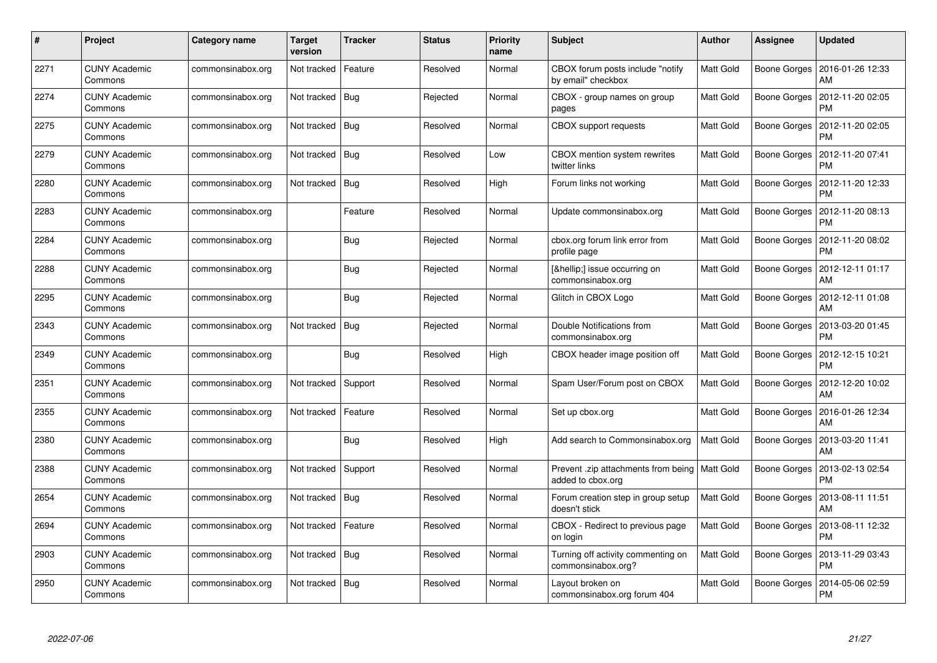| #    | Project                         | Category name     | <b>Target</b><br>version | <b>Tracker</b> | <b>Status</b> | <b>Priority</b><br>name | <b>Subject</b>                                                      | <b>Author</b>    | Assignee     | <b>Updated</b>                        |
|------|---------------------------------|-------------------|--------------------------|----------------|---------------|-------------------------|---------------------------------------------------------------------|------------------|--------------|---------------------------------------|
| 2271 | <b>CUNY Academic</b><br>Commons | commonsinabox.org | Not tracked              | Feature        | Resolved      | Normal                  | CBOX forum posts include "notify<br>by email" checkbox              | <b>Matt Gold</b> | Boone Gorges | 2016-01-26 12:33<br>AM                |
| 2274 | <b>CUNY Academic</b><br>Commons | commonsinabox.org | Not tracked   Bug        |                | Rejected      | Normal                  | CBOX - group names on group<br>pages                                | Matt Gold        | Boone Gorges | 2012-11-20 02:05<br><b>PM</b>         |
| 2275 | <b>CUNY Academic</b><br>Commons | commonsinabox.org | Not tracked   Bug        |                | Resolved      | Normal                  | <b>CBOX</b> support requests                                        | Matt Gold        | Boone Gorges | 2012-11-20 02:05<br>PM                |
| 2279 | <b>CUNY Academic</b><br>Commons | commonsinabox.org | Not tracked   Bug        |                | Resolved      | Low                     | CBOX mention system rewrites<br>twitter links                       | Matt Gold        | Boone Gorges | 2012-11-20 07:41<br>PM                |
| 2280 | <b>CUNY Academic</b><br>Commons | commonsinabox.org | Not tracked   Bug        |                | Resolved      | High                    | Forum links not working                                             | <b>Matt Gold</b> | Boone Gorges | 2012-11-20 12:33<br><b>PM</b>         |
| 2283 | <b>CUNY Academic</b><br>Commons | commonsinabox.org |                          | Feature        | Resolved      | Normal                  | Update commonsinabox.org                                            | Matt Gold        | Boone Gorges | 2012-11-20 08:13<br>PM                |
| 2284 | <b>CUNY Academic</b><br>Commons | commonsinabox.org |                          | Bug            | Rejected      | Normal                  | cbox.org forum link error from<br>profile page                      | Matt Gold        | Boone Gorges | 2012-11-20 08:02<br><b>PM</b>         |
| 2288 | <b>CUNY Academic</b><br>Commons | commonsinabox.org |                          | <b>Bug</b>     | Rejected      | Normal                  | […] issue occurring on<br>commonsinabox.org                         | Matt Gold        |              | Boone Gorges   2012-12-11 01:17<br>AM |
| 2295 | <b>CUNY Academic</b><br>Commons | commonsinabox.org |                          | Bug            | Rejected      | Normal                  | Glitch in CBOX Logo                                                 | <b>Matt Gold</b> | Boone Gorges | 2012-12-11 01:08<br>AM                |
| 2343 | <b>CUNY Academic</b><br>Commons | commonsinabox.org | Not tracked              | Bug            | Rejected      | Normal                  | Double Notifications from<br>commonsinabox.org                      | Matt Gold        | Boone Gorges | 2013-03-20 01:45<br>PM                |
| 2349 | <b>CUNY Academic</b><br>Commons | commonsinabox.org |                          | <b>Bug</b>     | Resolved      | High                    | CBOX header image position off                                      | Matt Gold        | Boone Gorges | 2012-12-15 10:21<br><b>PM</b>         |
| 2351 | <b>CUNY Academic</b><br>Commons | commonsinabox.org | Not tracked              | Support        | Resolved      | Normal                  | Spam User/Forum post on CBOX                                        | <b>Matt Gold</b> | Boone Gorges | 2012-12-20 10:02<br>AM                |
| 2355 | <b>CUNY Academic</b><br>Commons | commonsinabox.org | Not tracked              | Feature        | Resolved      | Normal                  | Set up cbox.org                                                     | Matt Gold        | Boone Gorges | 2016-01-26 12:34<br>AM                |
| 2380 | <b>CUNY Academic</b><br>Commons | commonsinabox.org |                          | Bug            | Resolved      | High                    | Add search to Commonsinabox.org                                     | Matt Gold        | Boone Gorges | 2013-03-20 11:41<br>AM                |
| 2388 | <b>CUNY Academic</b><br>Commons | commonsinabox.org | Not tracked              | Support        | Resolved      | Normal                  | Prevent zip attachments from being   Matt Gold<br>added to cbox.org |                  | Boone Gorges | 2013-02-13 02:54<br>PM                |
| 2654 | <b>CUNY Academic</b><br>Commons | commonsinabox.org | Not tracked   Bug        |                | Resolved      | Normal                  | Forum creation step in group setup<br>doesn't stick                 | <b>Matt Gold</b> | Boone Gorges | 2013-08-11 11:51<br>AM                |
| 2694 | <b>CUNY Academic</b><br>Commons | commonsinabox.org | Not tracked              | Feature        | Resolved      | Normal                  | CBOX - Redirect to previous page<br>on login                        | Matt Gold        | Boone Gorges | 2013-08-11 12:32<br><b>PM</b>         |
| 2903 | <b>CUNY Academic</b><br>Commons | commonsinabox.org | Not tracked              | Bug            | Resolved      | Normal                  | Turning off activity commenting on<br>commonsinabox.org?            | Matt Gold        | Boone Gorges | 2013-11-29 03:43<br><b>PM</b>         |
| 2950 | CUNY Academic<br>Commons        | commonsinabox.org | Not tracked   Bug        |                | Resolved      | Normal                  | Layout broken on<br>commonsinabox.org forum 404                     | Matt Gold        | Boone Gorges | 2014-05-06 02:59<br><b>PM</b>         |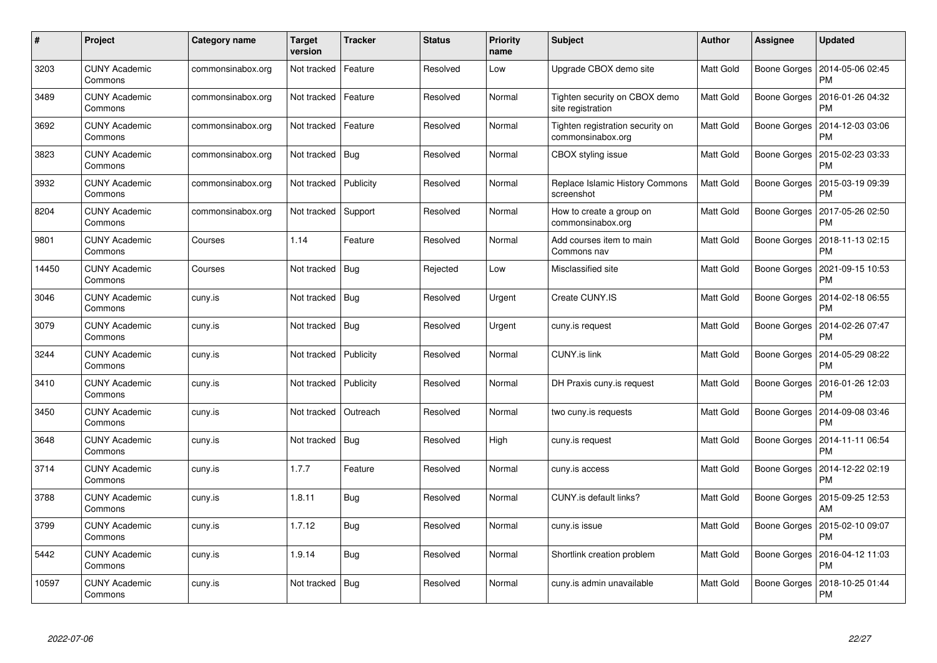| #     | Project                         | Category name     | Target<br>version | <b>Tracker</b> | <b>Status</b> | <b>Priority</b><br>name | <b>Subject</b>                                        | <b>Author</b>    | Assignee            | <b>Updated</b>                |
|-------|---------------------------------|-------------------|-------------------|----------------|---------------|-------------------------|-------------------------------------------------------|------------------|---------------------|-------------------------------|
| 3203  | <b>CUNY Academic</b><br>Commons | commonsinabox.org | Not tracked       | Feature        | Resolved      | Low                     | Upgrade CBOX demo site                                | Matt Gold        | Boone Gorges        | 2014-05-06 02:45<br><b>PM</b> |
| 3489  | <b>CUNY Academic</b><br>Commons | commonsinabox.org | Not tracked       | Feature        | Resolved      | Normal                  | Tighten security on CBOX demo<br>site registration    | <b>Matt Gold</b> | Boone Gorges        | 2016-01-26 04:32<br><b>PM</b> |
| 3692  | <b>CUNY Academic</b><br>Commons | commonsinabox.org | Not tracked       | Feature        | Resolved      | Normal                  | Tighten registration security on<br>commonsinabox.org | Matt Gold        | Boone Gorges        | 2014-12-03 03:06<br><b>PM</b> |
| 3823  | <b>CUNY Academic</b><br>Commons | commonsinabox.org | Not tracked   Bug |                | Resolved      | Normal                  | CBOX styling issue                                    | Matt Gold        | Boone Gorges        | 2015-02-23 03:33<br>PM        |
| 3932  | <b>CUNY Academic</b><br>Commons | commonsinabox.org | Not tracked       | Publicity      | Resolved      | Normal                  | Replace Islamic History Commons<br>screenshot         | <b>Matt Gold</b> | <b>Boone Gorges</b> | 2015-03-19 09:39<br><b>PM</b> |
| 8204  | <b>CUNY Academic</b><br>Commons | commonsinabox.org | Not tracked       | Support        | Resolved      | Normal                  | How to create a group on<br>commonsinabox.org         | Matt Gold        | Boone Gorges        | 2017-05-26 02:50<br>PM        |
| 9801  | <b>CUNY Academic</b><br>Commons | Courses           | 1.14              | Feature        | Resolved      | Normal                  | Add courses item to main<br>Commons nav               | Matt Gold        | Boone Gorges        | 2018-11-13 02:15<br><b>PM</b> |
| 14450 | <b>CUNY Academic</b><br>Commons | Courses           | Not tracked       | Bug            | Rejected      | Low                     | Misclassified site                                    | Matt Gold        | Boone Gorges        | 2021-09-15 10:53<br><b>PM</b> |
| 3046  | <b>CUNY Academic</b><br>Commons | cuny.is           | Not tracked   Bug |                | Resolved      | Urgent                  | Create CUNY.IS                                        | Matt Gold        | Boone Gorges        | 2014-02-18 06:55<br><b>PM</b> |
| 3079  | <b>CUNY Academic</b><br>Commons | cuny.is           | Not tracked       | Bug            | Resolved      | Urgent                  | cuny.is request                                       | Matt Gold        | Boone Gorges        | 2014-02-26 07:47<br><b>PM</b> |
| 3244  | <b>CUNY Academic</b><br>Commons | cuny.is           | Not tracked       | Publicity      | Resolved      | Normal                  | <b>CUNY.is link</b>                                   | Matt Gold        | <b>Boone Gorges</b> | 2014-05-29 08:22<br><b>PM</b> |
| 3410  | <b>CUNY Academic</b><br>Commons | cuny.is           | Not tracked       | Publicity      | Resolved      | Normal                  | DH Praxis cuny is request                             | Matt Gold        | Boone Gorges        | 2016-01-26 12:03<br>PM        |
| 3450  | <b>CUNY Academic</b><br>Commons | cuny.is           | Not tracked       | Outreach       | Resolved      | Normal                  | two cuny is requests                                  | Matt Gold        | Boone Gorges        | 2014-09-08 03:46<br><b>PM</b> |
| 3648  | <b>CUNY Academic</b><br>Commons | cuny.is           | Not tracked       | Bug            | Resolved      | High                    | cuny.is request                                       | Matt Gold        | Boone Gorges        | 2014-11-11 06:54<br>PM        |
| 3714  | <b>CUNY Academic</b><br>Commons | cuny.is           | 1.7.7             | Feature        | Resolved      | Normal                  | cuny.is access                                        | Matt Gold        | Boone Gorges        | 2014-12-22 02:19<br><b>PM</b> |
| 3788  | <b>CUNY Academic</b><br>Commons | cuny.is           | 1.8.11            | Bug            | Resolved      | Normal                  | CUNY is default links?                                | Matt Gold        | Boone Gorges        | 2015-09-25 12:53<br>AM        |
| 3799  | <b>CUNY Academic</b><br>Commons | cuny.is           | 1.7.12            | Bug            | Resolved      | Normal                  | cuny.is issue                                         | Matt Gold        | Boone Gorges        | 2015-02-10 09:07<br><b>PM</b> |
| 5442  | <b>CUNY Academic</b><br>Commons | cuny.is           | 1.9.14            | <b>Bug</b>     | Resolved      | Normal                  | Shortlink creation problem                            | Matt Gold        | Boone Gorges        | 2016-04-12 11:03<br>PM        |
| 10597 | CUNY Academic<br>Commons        | cuny.is           | Not tracked       | Bug            | Resolved      | Normal                  | cuny is admin unavailable                             | Matt Gold        | Boone Gorges        | 2018-10-25 01:44<br><b>PM</b> |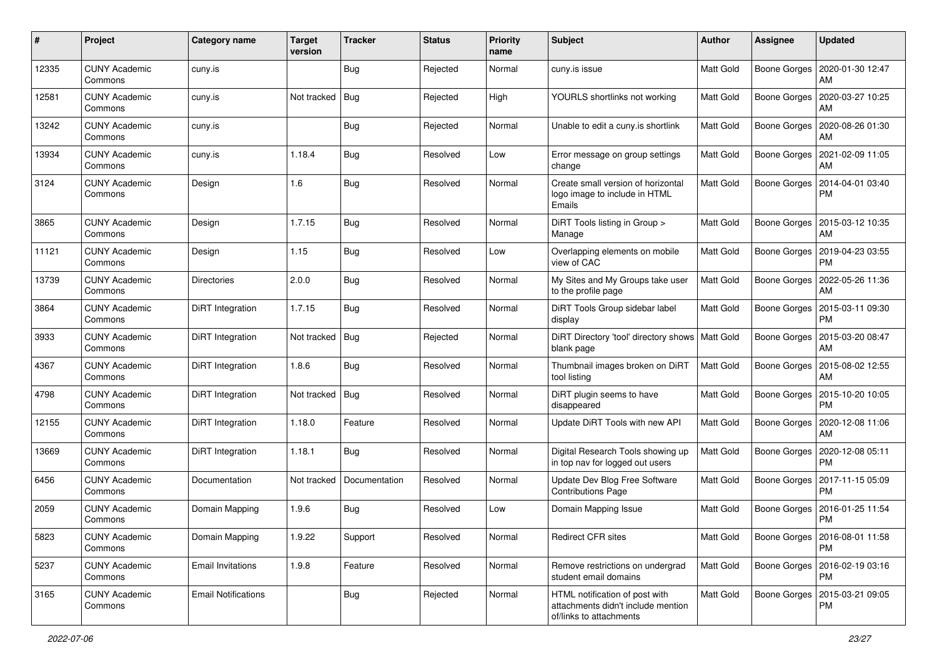| #     | Project                         | <b>Category name</b>       | <b>Target</b><br>version | <b>Tracker</b> | <b>Status</b> | <b>Priority</b><br>name | <b>Subject</b>                                                                                  | Author           | <b>Assignee</b>     | <b>Updated</b>                               |
|-------|---------------------------------|----------------------------|--------------------------|----------------|---------------|-------------------------|-------------------------------------------------------------------------------------------------|------------------|---------------------|----------------------------------------------|
| 12335 | <b>CUNY Academic</b><br>Commons | cuny.is                    |                          | <b>Bug</b>     | Rejected      | Normal                  | cuny.is issue                                                                                   | Matt Gold        | Boone Gorges        | 2020-01-30 12:47<br>AM                       |
| 12581 | <b>CUNY Academic</b><br>Commons | cuny.is                    | Not tracked              | Bug            | Rejected      | High                    | YOURLS shortlinks not working                                                                   | Matt Gold        |                     | Boone Gorges   2020-03-27 10:25<br>AM        |
| 13242 | <b>CUNY Academic</b><br>Commons | cuny.is                    |                          | Bug            | Rejected      | Normal                  | Unable to edit a cuny is shortlink                                                              | Matt Gold        | <b>Boone Gorges</b> | 2020-08-26 01:30<br>AM                       |
| 13934 | <b>CUNY Academic</b><br>Commons | cuny.is                    | 1.18.4                   | <b>Bug</b>     | Resolved      | Low                     | Error message on group settings<br>change                                                       | Matt Gold        | <b>Boone Gorges</b> | 2021-02-09 11:05<br>AM                       |
| 3124  | <b>CUNY Academic</b><br>Commons | Design                     | 1.6                      | <b>Bug</b>     | Resolved      | Normal                  | Create small version of horizontal<br>logo image to include in HTML<br>Emails                   | Matt Gold        | Boone Gorges        | 2014-04-01 03:40<br><b>PM</b>                |
| 3865  | <b>CUNY Academic</b><br>Commons | Design                     | 1.7.15                   | <b>Bug</b>     | Resolved      | Normal                  | DiRT Tools listing in Group ><br>Manage                                                         | Matt Gold        | Boone Gorges        | 2015-03-12 10:35<br>AM                       |
| 11121 | <b>CUNY Academic</b><br>Commons | Design                     | 1.15                     | <b>Bug</b>     | Resolved      | Low                     | Overlapping elements on mobile<br>view of CAC                                                   | Matt Gold        |                     | Boone Gorges   2019-04-23 03:55<br><b>PM</b> |
| 13739 | <b>CUNY Academic</b><br>Commons | <b>Directories</b>         | 2.0.0                    | <b>Bug</b>     | Resolved      | Normal                  | My Sites and My Groups take user<br>to the profile page                                         | Matt Gold        | Boone Gorges        | 2022-05-26 11:36<br>AM                       |
| 3864  | <b>CUNY Academic</b><br>Commons | DiRT Integration           | 1.7.15                   | <b>Bug</b>     | Resolved      | Normal                  | DiRT Tools Group sidebar label<br>display                                                       | Matt Gold        | Boone Gorges        | 2015-03-11 09:30<br><b>PM</b>                |
| 3933  | <b>CUNY Academic</b><br>Commons | DiRT Integration           | Not tracked              | Bug            | Rejected      | Normal                  | DiRT Directory 'tool' directory shows   Matt Gold<br>blank page                                 |                  | Boone Gorges        | 2015-03-20 08:47<br>AM                       |
| 4367  | <b>CUNY Academic</b><br>Commons | DiRT Integration           | 1.8.6                    | Bug            | Resolved      | Normal                  | Thumbnail images broken on DiRT<br>tool listing                                                 | Matt Gold        | Boone Gorges        | 2015-08-02 12:55<br>AM                       |
| 4798  | <b>CUNY Academic</b><br>Commons | DiRT Integration           | Not tracked              | Bug            | Resolved      | Normal                  | DiRT plugin seems to have<br>disappeared                                                        | Matt Gold        | <b>Boone Gorges</b> | 2015-10-20 10:05<br><b>PM</b>                |
| 12155 | <b>CUNY Academic</b><br>Commons | DiRT Integration           | 1.18.0                   | Feature        | Resolved      | Normal                  | Update DiRT Tools with new API                                                                  | Matt Gold        | Boone Gorges        | 2020-12-08 11:06<br>AM                       |
| 13669 | <b>CUNY Academic</b><br>Commons | DiRT Integration           | 1.18.1                   | Bug            | Resolved      | Normal                  | Digital Research Tools showing up<br>in top nav for logged out users                            | Matt Gold        |                     | Boone Gorges   2020-12-08 05:11<br><b>PM</b> |
| 6456  | <b>CUNY Academic</b><br>Commons | Documentation              | Not tracked              | Documentation  | Resolved      | Normal                  | Update Dev Blog Free Software<br><b>Contributions Page</b>                                      | Matt Gold        | Boone Gorges        | 2017-11-15 05:09<br><b>PM</b>                |
| 2059  | <b>CUNY Academic</b><br>Commons | Domain Mapping             | 1.9.6                    | <b>Bug</b>     | Resolved      | Low                     | Domain Mapping Issue                                                                            | Matt Gold        | <b>Boone Gorges</b> | 2016-01-25 11:54<br><b>PM</b>                |
| 5823  | <b>CUNY Academic</b><br>Commons | Domain Mapping             | 1.9.22                   | Support        | Resolved      | Normal                  | Redirect CFR sites                                                                              | <b>Matt Gold</b> |                     | Boone Gorges   2016-08-01 11:58<br>PM        |
| 5237  | <b>CUNY Academic</b><br>Commons | <b>Email Invitations</b>   | 1.9.8                    | Feature        | Resolved      | Normal                  | Remove restrictions on undergrad<br>student email domains                                       | Matt Gold        | Boone Gorges        | 2016-02-19 03:16<br><b>PM</b>                |
| 3165  | <b>CUNY Academic</b><br>Commons | <b>Email Notifications</b> |                          | Bug            | Rejected      | Normal                  | HTML notification of post with<br>attachments didn't include mention<br>of/links to attachments | Matt Gold        | Boone Gorges        | 2015-03-21 09:05<br>PM                       |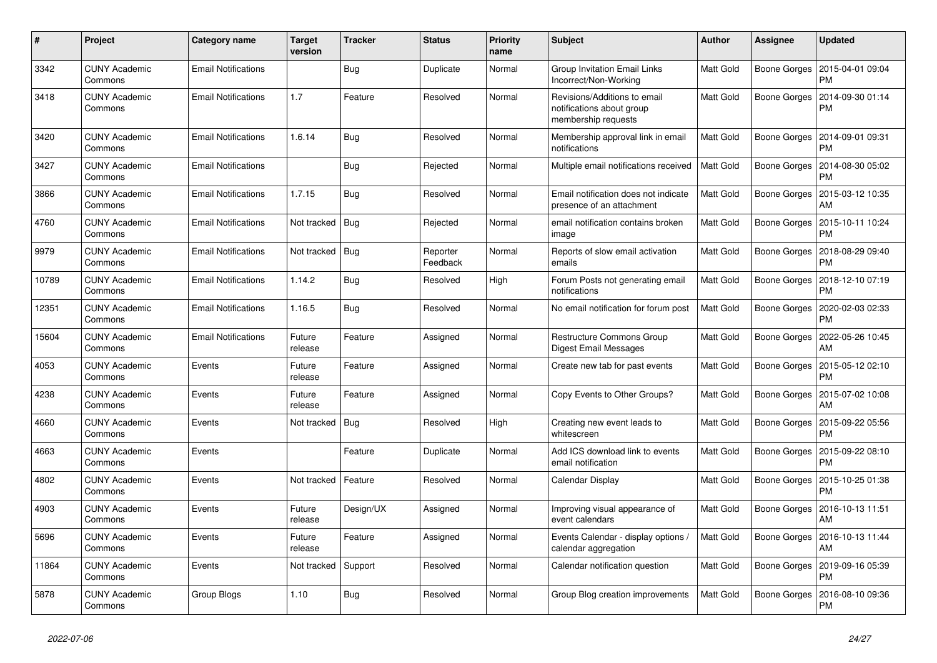| #     | Project                         | Category name              | <b>Target</b><br>version | <b>Tracker</b> | <b>Status</b>        | <b>Priority</b><br>name | <b>Subject</b>                                                                   | <b>Author</b>    | Assignee            | <b>Updated</b>                        |
|-------|---------------------------------|----------------------------|--------------------------|----------------|----------------------|-------------------------|----------------------------------------------------------------------------------|------------------|---------------------|---------------------------------------|
| 3342  | <b>CUNY Academic</b><br>Commons | <b>Email Notifications</b> |                          | Bug            | Duplicate            | Normal                  | <b>Group Invitation Email Links</b><br>Incorrect/Non-Working                     | <b>Matt Gold</b> | Boone Gorges        | 2015-04-01 09:04<br><b>PM</b>         |
| 3418  | <b>CUNY Academic</b><br>Commons | <b>Email Notifications</b> | 1.7                      | Feature        | Resolved             | Normal                  | Revisions/Additions to email<br>notifications about group<br>membership requests | Matt Gold        | Boone Gorges        | 2014-09-30 01:14<br>PM                |
| 3420  | <b>CUNY Academic</b><br>Commons | <b>Email Notifications</b> | 1.6.14                   | Bug            | Resolved             | Normal                  | Membership approval link in email<br>notifications                               | <b>Matt Gold</b> | Boone Gorges        | 2014-09-01 09:31<br>PM                |
| 3427  | <b>CUNY Academic</b><br>Commons | <b>Email Notifications</b> |                          | Bug            | Rejected             | Normal                  | Multiple email notifications received                                            | Matt Gold        | Boone Gorges        | 2014-08-30 05:02<br><b>PM</b>         |
| 3866  | <b>CUNY Academic</b><br>Commons | <b>Email Notifications</b> | 1.7.15                   | Bug            | Resolved             | Normal                  | Email notification does not indicate<br>presence of an attachment                | <b>Matt Gold</b> | Boone Gorges        | 2015-03-12 10:35<br>AM                |
| 4760  | <b>CUNY Academic</b><br>Commons | <b>Email Notifications</b> | Not tracked              | Bug            | Rejected             | Normal                  | email notification contains broken<br>image                                      | Matt Gold        | Boone Gorges        | 2015-10-11 10:24<br><b>PM</b>         |
| 9979  | <b>CUNY Academic</b><br>Commons | <b>Email Notifications</b> | Not tracked              | Bug            | Reporter<br>Feedback | Normal                  | Reports of slow email activation<br>emails                                       | Matt Gold        | Boone Gorges        | 2018-08-29 09:40<br>PM                |
| 10789 | <b>CUNY Academic</b><br>Commons | <b>Email Notifications</b> | 1.14.2                   | Bug            | Resolved             | High                    | Forum Posts not generating email<br>notifications                                | Matt Gold        | Boone Gorges        | 2018-12-10 07:19<br><b>PM</b>         |
| 12351 | <b>CUNY Academic</b><br>Commons | <b>Email Notifications</b> | 1.16.5                   | Bug            | Resolved             | Normal                  | No email notification for forum post                                             | Matt Gold        | Boone Gorges        | 2020-02-03 02:33<br><b>PM</b>         |
| 15604 | <b>CUNY Academic</b><br>Commons | <b>Email Notifications</b> | Future<br>release        | Feature        | Assigned             | Normal                  | Restructure Commons Group<br>Digest Email Messages                               | Matt Gold        | <b>Boone Gorges</b> | 2022-05-26 10:45<br>AM                |
| 4053  | <b>CUNY Academic</b><br>Commons | Events                     | Future<br>release        | Feature        | Assigned             | Normal                  | Create new tab for past events                                                   | Matt Gold        | Boone Gorges        | 2015-05-12 02:10<br><b>PM</b>         |
| 4238  | <b>CUNY Academic</b><br>Commons | Events                     | Future<br>release        | Feature        | Assigned             | Normal                  | Copy Events to Other Groups?                                                     | Matt Gold        | Boone Gorges        | 2015-07-02 10:08<br>AM                |
| 4660  | <b>CUNY Academic</b><br>Commons | Events                     | Not tracked              | <b>Bug</b>     | Resolved             | High                    | Creating new event leads to<br>whitescreen                                       | Matt Gold        | Boone Gorges        | 2015-09-22 05:56<br><b>PM</b>         |
| 4663  | <b>CUNY Academic</b><br>Commons | Events                     |                          | Feature        | Duplicate            | Normal                  | Add ICS download link to events<br>email notification                            | Matt Gold        | Boone Gorges        | 2015-09-22 08:10<br>PM                |
| 4802  | <b>CUNY Academic</b><br>Commons | Events                     | Not tracked              | Feature        | Resolved             | Normal                  | Calendar Display                                                                 | Matt Gold        | Boone Gorges        | 2015-10-25 01:38<br><b>PM</b>         |
| 4903  | <b>CUNY Academic</b><br>Commons | Events                     | Future<br>release        | Design/UX      | Assigned             | Normal                  | Improving visual appearance of<br>event calendars                                | Matt Gold        | Boone Gorges        | 2016-10-13 11:51<br>AM                |
| 5696  | <b>CUNY Academic</b><br>Commons | Events                     | Future<br>release        | Feature        | Assigned             | Normal                  | Events Calendar - display options /<br>calendar aggregation                      | <b>Matt Gold</b> |                     | Boone Gorges   2016-10-13 11:44<br>AM |
| 11864 | <b>CUNY Academic</b><br>Commons | Events                     | Not tracked              | Support        | Resolved             | Normal                  | Calendar notification question                                                   | Matt Gold        | Boone Gorges        | 2019-09-16 05:39<br><b>PM</b>         |
| 5878  | <b>CUNY Academic</b><br>Commons | Group Blogs                | 1.10                     | Bug            | Resolved             | Normal                  | Group Blog creation improvements                                                 | <b>Matt Gold</b> | Boone Gorges        | 2016-08-10 09:36<br><b>PM</b>         |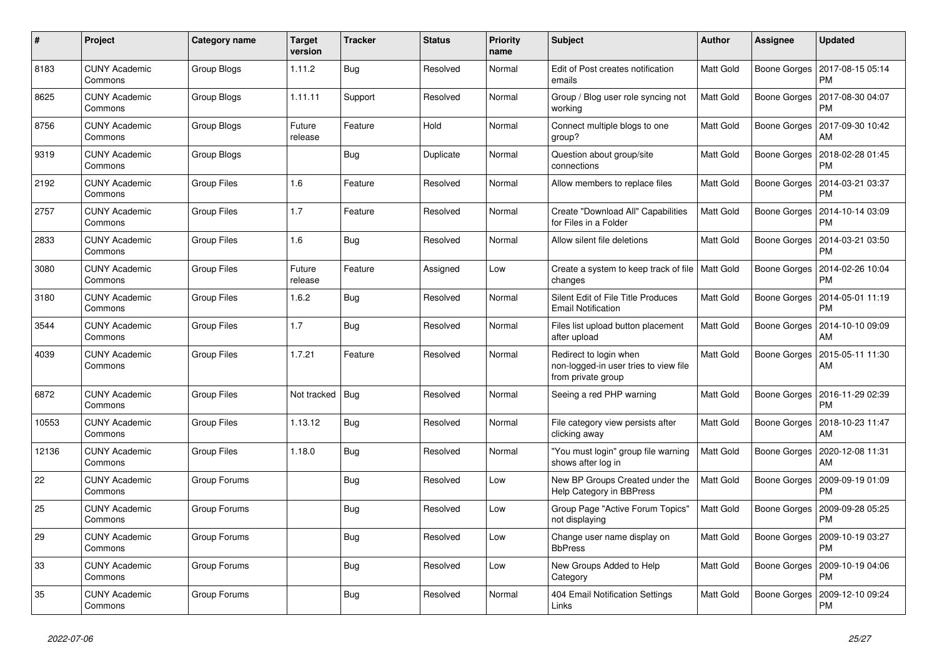| #     | Project                         | Category name      | Target<br>version | <b>Tracker</b> | <b>Status</b> | <b>Priority</b><br>name | <b>Subject</b>                                                                        | <b>Author</b>    | <b>Assignee</b>     | <b>Updated</b>                               |
|-------|---------------------------------|--------------------|-------------------|----------------|---------------|-------------------------|---------------------------------------------------------------------------------------|------------------|---------------------|----------------------------------------------|
| 8183  | <b>CUNY Academic</b><br>Commons | Group Blogs        | 1.11.2            | Bug            | Resolved      | Normal                  | Edit of Post creates notification<br>emails                                           | <b>Matt Gold</b> | Boone Gorges        | 2017-08-15 05:14<br><b>PM</b>                |
| 8625  | <b>CUNY Academic</b><br>Commons | Group Blogs        | 1.11.11           | Support        | Resolved      | Normal                  | Group / Blog user role syncing not<br>workina                                         | Matt Gold        | Boone Gorges        | 2017-08-30 04:07<br><b>PM</b>                |
| 8756  | <b>CUNY Academic</b><br>Commons | Group Blogs        | Future<br>release | Feature        | Hold          | Normal                  | Connect multiple blogs to one<br>group?                                               | Matt Gold        |                     | Boone Gorges   2017-09-30 10:42<br>AM        |
| 9319  | <b>CUNY Academic</b><br>Commons | Group Blogs        |                   | <b>Bug</b>     | Duplicate     | Normal                  | Question about group/site<br>connections                                              | Matt Gold        | Boone Gorges        | 2018-02-28 01:45<br><b>PM</b>                |
| 2192  | <b>CUNY Academic</b><br>Commons | <b>Group Files</b> | 1.6               | Feature        | Resolved      | Normal                  | Allow members to replace files                                                        | Matt Gold        | Boone Gorges        | 2014-03-21 03:37<br><b>PM</b>                |
| 2757  | <b>CUNY Academic</b><br>Commons | <b>Group Files</b> | 1.7               | Feature        | Resolved      | Normal                  | Create "Download All" Capabilities<br>for Files in a Folder                           | <b>Matt Gold</b> | Boone Gorges        | 2014-10-14 03:09<br><b>PM</b>                |
| 2833  | <b>CUNY Academic</b><br>Commons | Group Files        | 1.6               | <b>Bug</b>     | Resolved      | Normal                  | Allow silent file deletions                                                           | Matt Gold        | Boone Gorges        | 2014-03-21 03:50<br><b>PM</b>                |
| 3080  | <b>CUNY Academic</b><br>Commons | <b>Group Files</b> | Future<br>release | Feature        | Assigned      | Low                     | Create a system to keep track of file   Matt Gold<br>changes                          |                  | Boone Gorges        | 2014-02-26 10:04<br><b>PM</b>                |
| 3180  | <b>CUNY Academic</b><br>Commons | Group Files        | 1.6.2             | Bug            | Resolved      | Normal                  | Silent Edit of File Title Produces<br><b>Email Notification</b>                       | Matt Gold        | Boone Gorges        | 2014-05-01 11:19<br><b>PM</b>                |
| 3544  | <b>CUNY Academic</b><br>Commons | <b>Group Files</b> | 1.7               | Bug            | Resolved      | Normal                  | Files list upload button placement<br>after upload                                    | Matt Gold        |                     | Boone Gorges   2014-10-10 09:09<br>AM        |
| 4039  | <b>CUNY Academic</b><br>Commons | <b>Group Files</b> | 1.7.21            | Feature        | Resolved      | Normal                  | Redirect to login when<br>non-logged-in user tries to view file<br>from private group | Matt Gold        | Boone Gorges        | 2015-05-11 11:30<br>AM                       |
| 6872  | <b>CUNY Academic</b><br>Commons | <b>Group Files</b> | Not tracked       | <b>Bug</b>     | Resolved      | Normal                  | Seeing a red PHP warning                                                              | Matt Gold        |                     | Boone Gorges   2016-11-29 02:39<br><b>PM</b> |
| 10553 | <b>CUNY Academic</b><br>Commons | Group Files        | 1.13.12           | Bug            | Resolved      | Normal                  | File category view persists after<br>clicking away                                    | Matt Gold        | Boone Gorges        | 2018-10-23 11:47<br>AM                       |
| 12136 | <b>CUNY Academic</b><br>Commons | <b>Group Files</b> | 1.18.0            | Bug            | Resolved      | Normal                  | "You must login" group file warning<br>shows after log in                             | Matt Gold        | Boone Gorges        | 2020-12-08 11:31<br>AM                       |
| 22    | <b>CUNY Academic</b><br>Commons | Group Forums       |                   | Bug            | Resolved      | Low                     | New BP Groups Created under the<br>Help Category in BBPress                           | Matt Gold        |                     | Boone Gorges   2009-09-19 01:09<br><b>PM</b> |
| 25    | <b>CUNY Academic</b><br>Commons | Group Forums       |                   | Bug            | Resolved      | Low                     | Group Page "Active Forum Topics"<br>not displaying                                    | Matt Gold        | <b>Boone Gorges</b> | 2009-09-28 05:25<br><b>PM</b>                |
| 29    | <b>CUNY Academic</b><br>Commons | Group Forums       |                   | Bug            | Resolved      | Low                     | Change user name display on<br><b>BbPress</b>                                         | Matt Gold        |                     | Boone Gorges   2009-10-19 03:27<br><b>PM</b> |
| 33    | <b>CUNY Academic</b><br>Commons | Group Forums       |                   | Bug            | Resolved      | Low                     | New Groups Added to Help<br>Category                                                  | Matt Gold        | Boone Gorges        | 2009-10-19 04:06<br><b>PM</b>                |
| 35    | <b>CUNY Academic</b><br>Commons | Group Forums       |                   | <b>Bug</b>     | Resolved      | Normal                  | 404 Email Notification Settings<br>Links                                              | Matt Gold        | Boone Gorges        | 2009-12-10 09:24<br><b>PM</b>                |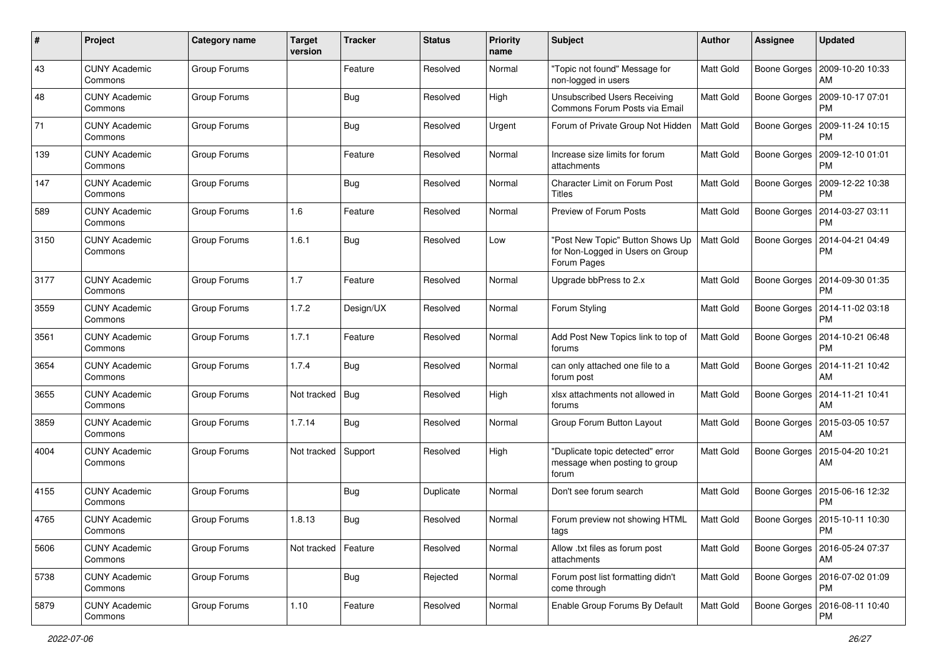| $\#$ | Project                         | <b>Category name</b> | <b>Target</b><br>version | <b>Tracker</b> | <b>Status</b> | <b>Priority</b><br>name | Subject                                                                             | Author           | <b>Assignee</b>     | <b>Updated</b>                               |
|------|---------------------------------|----------------------|--------------------------|----------------|---------------|-------------------------|-------------------------------------------------------------------------------------|------------------|---------------------|----------------------------------------------|
| 43   | <b>CUNY Academic</b><br>Commons | Group Forums         |                          | Feature        | Resolved      | Normal                  | "Topic not found" Message for<br>non-logged in users                                | Matt Gold        | Boone Gorges        | 2009-10-20 10:33<br>AM                       |
| 48   | <b>CUNY Academic</b><br>Commons | Group Forums         |                          | <b>Bug</b>     | Resolved      | High                    | <b>Unsubscribed Users Receiving</b><br>Commons Forum Posts via Email                | Matt Gold        | Boone Gorges        | 2009-10-17 07:01<br><b>PM</b>                |
| 71   | CUNY Academic<br>Commons        | Group Forums         |                          | <b>Bug</b>     | Resolved      | Urgent                  | Forum of Private Group Not Hidden                                                   | Matt Gold        | Boone Gorges        | 2009-11-24 10:15<br><b>PM</b>                |
| 139  | <b>CUNY Academic</b><br>Commons | Group Forums         |                          | Feature        | Resolved      | Normal                  | Increase size limits for forum<br>attachments                                       | Matt Gold        | Boone Gorges        | 2009-12-10 01:01<br><b>PM</b>                |
| 147  | <b>CUNY Academic</b><br>Commons | Group Forums         |                          | Bug            | Resolved      | Normal                  | <b>Character Limit on Forum Post</b><br><b>Titles</b>                               | Matt Gold        | Boone Gorges        | 2009-12-22 10:38<br><b>PM</b>                |
| 589  | <b>CUNY Academic</b><br>Commons | Group Forums         | 1.6                      | Feature        | Resolved      | Normal                  | Preview of Forum Posts                                                              | Matt Gold        | Boone Gorges        | 2014-03-27 03:11<br>PM                       |
| 3150 | <b>CUNY Academic</b><br>Commons | Group Forums         | 1.6.1                    | Bug            | Resolved      | Low                     | 'Post New Topic" Button Shows Up<br>for Non-Logged in Users on Group<br>Forum Pages | <b>Matt Gold</b> | Boone Gorges        | 2014-04-21 04:49<br>PM                       |
| 3177 | <b>CUNY Academic</b><br>Commons | Group Forums         | 1.7                      | Feature        | Resolved      | Normal                  | Upgrade bbPress to 2.x                                                              | <b>Matt Gold</b> | Boone Gorges        | 2014-09-30 01:35<br><b>PM</b>                |
| 3559 | <b>CUNY Academic</b><br>Commons | Group Forums         | 1.7.2                    | Design/UX      | Resolved      | Normal                  | Forum Styling                                                                       | Matt Gold        | Boone Gorges        | 2014-11-02 03:18<br>PM                       |
| 3561 | <b>CUNY Academic</b><br>Commons | Group Forums         | 1.7.1                    | Feature        | Resolved      | Normal                  | Add Post New Topics link to top of<br>forums                                        | Matt Gold        | Boone Gorges        | 2014-10-21 06:48<br><b>PM</b>                |
| 3654 | <b>CUNY Academic</b><br>Commons | Group Forums         | 1.7.4                    | Bug            | Resolved      | Normal                  | can only attached one file to a<br>forum post                                       | Matt Gold        | Boone Gorges        | 2014-11-21 10:42<br>AM                       |
| 3655 | <b>CUNY Academic</b><br>Commons | Group Forums         | Not tracked              | Bug            | Resolved      | High                    | xlsx attachments not allowed in<br>forums                                           | <b>Matt Gold</b> | <b>Boone Gorges</b> | 2014-11-21 10:41<br>AM                       |
| 3859 | <b>CUNY Academic</b><br>Commons | Group Forums         | 1.7.14                   | Bug            | Resolved      | Normal                  | Group Forum Button Layout                                                           | Matt Gold        | Boone Gorges        | 2015-03-05 10:57<br>AM                       |
| 4004 | <b>CUNY Academic</b><br>Commons | Group Forums         | Not tracked   Support    |                | Resolved      | High                    | "Duplicate topic detected" error<br>message when posting to group<br>forum          | Matt Gold        | Boone Gorges        | 2015-04-20 10:21<br>AM                       |
| 4155 | <b>CUNY Academic</b><br>Commons | Group Forums         |                          | <b>Bug</b>     | Duplicate     | Normal                  | Don't see forum search                                                              | Matt Gold        | Boone Gorges        | 2015-06-16 12:32<br><b>PM</b>                |
| 4765 | <b>CUNY Academic</b><br>Commons | Group Forums         | 1.8.13                   | Bug            | Resolved      | Normal                  | Forum preview not showing HTML<br>ιags                                              | <b>Matt Gold</b> |                     | Boone Gorges   2015-10-11 10:30<br>PM        |
| 5606 | <b>CUNY Academic</b><br>Commons | Group Forums         | Not tracked              | Feature        | Resolved      | Normal                  | Allow .txt files as forum post<br>attachments                                       | <b>Matt Gold</b> |                     | Boone Gorges   2016-05-24 07:37<br>AM        |
| 5738 | <b>CUNY Academic</b><br>Commons | Group Forums         |                          | <b>Bug</b>     | Rejected      | Normal                  | Forum post list formatting didn't<br>come through                                   | Matt Gold        |                     | Boone Gorges   2016-07-02 01:09<br><b>PM</b> |
| 5879 | <b>CUNY Academic</b><br>Commons | Group Forums         | 1.10                     | Feature        | Resolved      | Normal                  | Enable Group Forums By Default                                                      | <b>Matt Gold</b> |                     | Boone Gorges   2016-08-11 10:40<br><b>PM</b> |